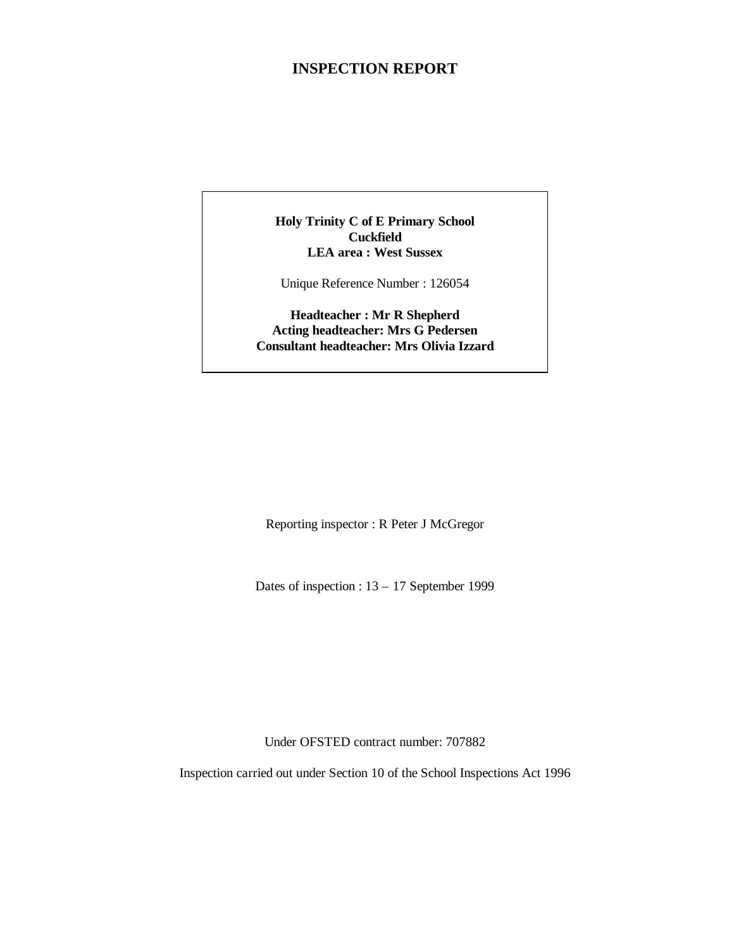## **INSPECTION REPORT**

#### **Holy Trinity C of E Primary School Cuckfield LEA area : West Sussex**

Unique Reference Number : 126054

#### **Headteacher : Mr R Shepherd Acting headteacher: Mrs G Pedersen Consultant headteacher: Mrs Olivia Izzard**

Reporting inspector : R Peter J McGregor

Dates of inspection : 13 – 17 September 1999

Under OFSTED contract number: 707882

Inspection carried out under Section 10 of the School Inspections Act 1996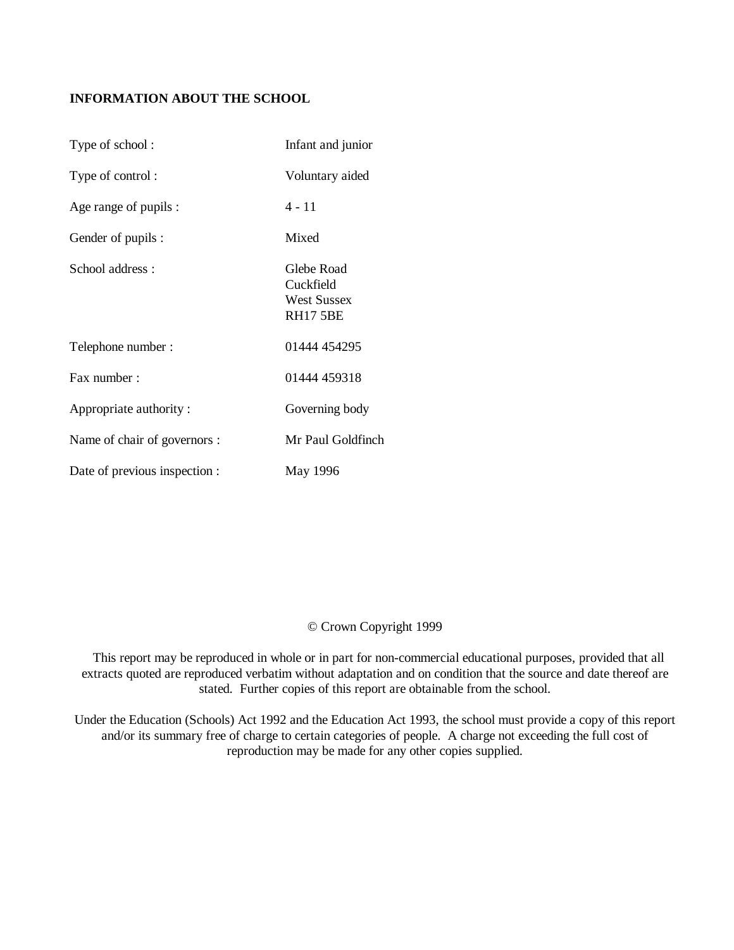### **INFORMATION ABOUT THE SCHOOL**

| Type of school:               | Infant and junior                                                |
|-------------------------------|------------------------------------------------------------------|
| Type of control:              | Voluntary aided                                                  |
| Age range of pupils :         | 4 - 11                                                           |
| Gender of pupils :            | Mixed                                                            |
| School address:               | Glebe Road<br>Cuckfield<br><b>West Sussex</b><br><b>RH17 5BE</b> |
| Telephone number:             | 01444 454295                                                     |
| Fax number:                   | 01444 459318                                                     |
| Appropriate authority:        | Governing body                                                   |
| Name of chair of governors :  | Mr Paul Goldfinch                                                |
| Date of previous inspection : | May 1996                                                         |

#### © Crown Copyright 1999

 This report may be reproduced in whole or in part for non-commercial educational purposes, provided that all extracts quoted are reproduced verbatim without adaptation and on condition that the source and date thereof are stated. Further copies of this report are obtainable from the school.

Under the Education (Schools) Act 1992 and the Education Act 1993, the school must provide a copy of this report and/or its summary free of charge to certain categories of people. A charge not exceeding the full cost of reproduction may be made for any other copies supplied.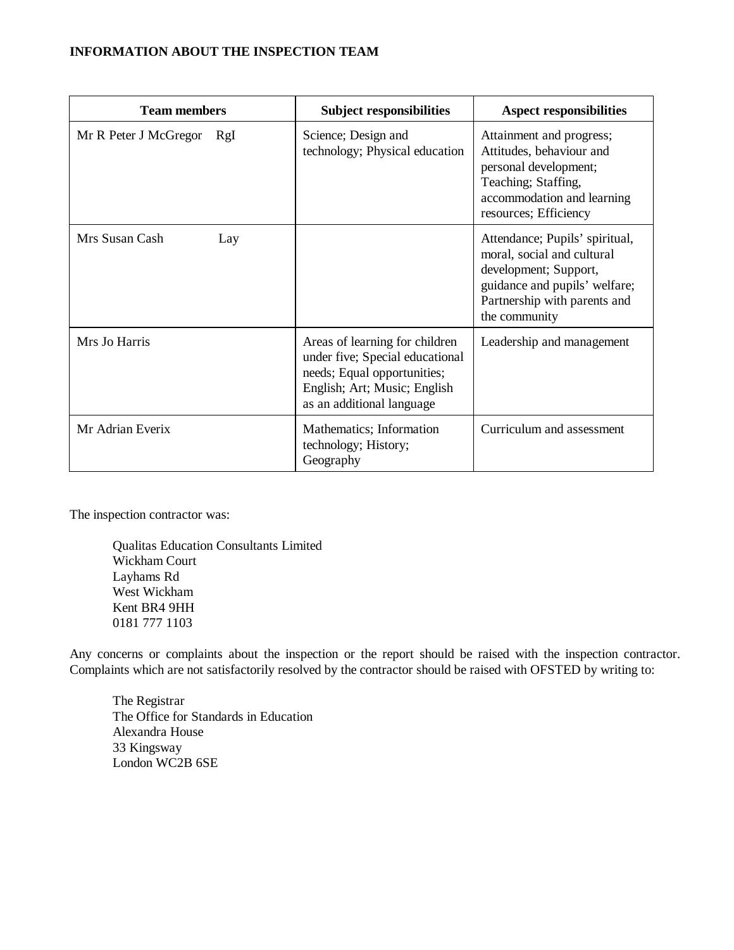#### **INFORMATION ABOUT THE INSPECTION TEAM**

| <b>Team members</b>   |     | <b>Subject responsibilities</b>                                                                                                                               | <b>Aspect responsibilities</b>                                                                                                                                          |
|-----------------------|-----|---------------------------------------------------------------------------------------------------------------------------------------------------------------|-------------------------------------------------------------------------------------------------------------------------------------------------------------------------|
| Mr R Peter J McGregor | RgI | Science; Design and<br>technology; Physical education                                                                                                         | Attainment and progress;<br>Attitudes, behaviour and<br>personal development;<br>Teaching; Staffing,<br>accommodation and learning<br>resources; Efficiency             |
| Mrs Susan Cash        | Lay |                                                                                                                                                               | Attendance; Pupils' spiritual,<br>moral, social and cultural<br>development; Support,<br>guidance and pupils' welfare;<br>Partnership with parents and<br>the community |
| Mrs Jo Harris         |     | Areas of learning for children<br>under five; Special educational<br>needs; Equal opportunities;<br>English; Art; Music; English<br>as an additional language | Leadership and management                                                                                                                                               |
| Mr Adrian Everix      |     | Mathematics; Information<br>technology; History;<br>Geography                                                                                                 | Curriculum and assessment                                                                                                                                               |

The inspection contractor was:

Qualitas Education Consultants Limited Wickham Court Layhams Rd West Wickham Kent BR4 9HH 0181 777 1103

Any concerns or complaints about the inspection or the report should be raised with the inspection contractor. Complaints which are not satisfactorily resolved by the contractor should be raised with OFSTED by writing to:

The Registrar The Office for Standards in Education Alexandra House 33 Kingsway London WC2B 6SE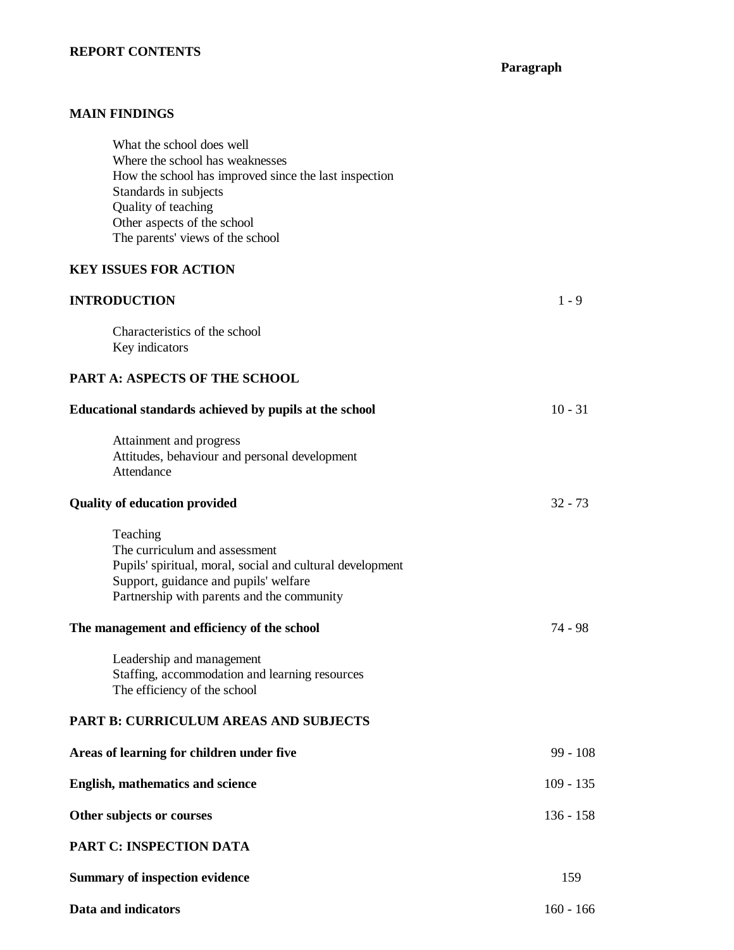## **REPORT CONTENTS**

**Paragraph**

## **MAIN FINDINGS**

| What the school does well<br>Where the school has weaknesses<br>How the school has improved since the last inspection<br>Standards in subjects<br>Quality of teaching<br>Other aspects of the school<br>The parents' views of the school |             |
|------------------------------------------------------------------------------------------------------------------------------------------------------------------------------------------------------------------------------------------|-------------|
| <b>KEY ISSUES FOR ACTION</b>                                                                                                                                                                                                             |             |
| <b>INTRODUCTION</b>                                                                                                                                                                                                                      | $1 - 9$     |
| Characteristics of the school<br>Key indicators                                                                                                                                                                                          |             |
| <b>PART A: ASPECTS OF THE SCHOOL</b>                                                                                                                                                                                                     |             |
| Educational standards achieved by pupils at the school                                                                                                                                                                                   | $10 - 31$   |
| Attainment and progress<br>Attitudes, behaviour and personal development<br>Attendance                                                                                                                                                   |             |
| <b>Quality of education provided</b>                                                                                                                                                                                                     | $32 - 73$   |
| Teaching<br>The curriculum and assessment<br>Pupils' spiritual, moral, social and cultural development<br>Support, guidance and pupils' welfare<br>Partnership with parents and the community                                            |             |
| The management and efficiency of the school                                                                                                                                                                                              | 74 - 98     |
| Leadership and management<br>Staffing, accommodation and learning resources<br>The efficiency of the school                                                                                                                              |             |
| <b>PART B: CURRICULUM AREAS AND SUBJECTS</b>                                                                                                                                                                                             |             |
| Areas of learning for children under five                                                                                                                                                                                                | 99 - 108    |
| <b>English, mathematics and science</b>                                                                                                                                                                                                  | $109 - 135$ |
| Other subjects or courses                                                                                                                                                                                                                | $136 - 158$ |
| PART C: INSPECTION DATA                                                                                                                                                                                                                  |             |
| <b>Summary of inspection evidence</b>                                                                                                                                                                                                    | 159         |
| Data and indicators                                                                                                                                                                                                                      | $160 - 166$ |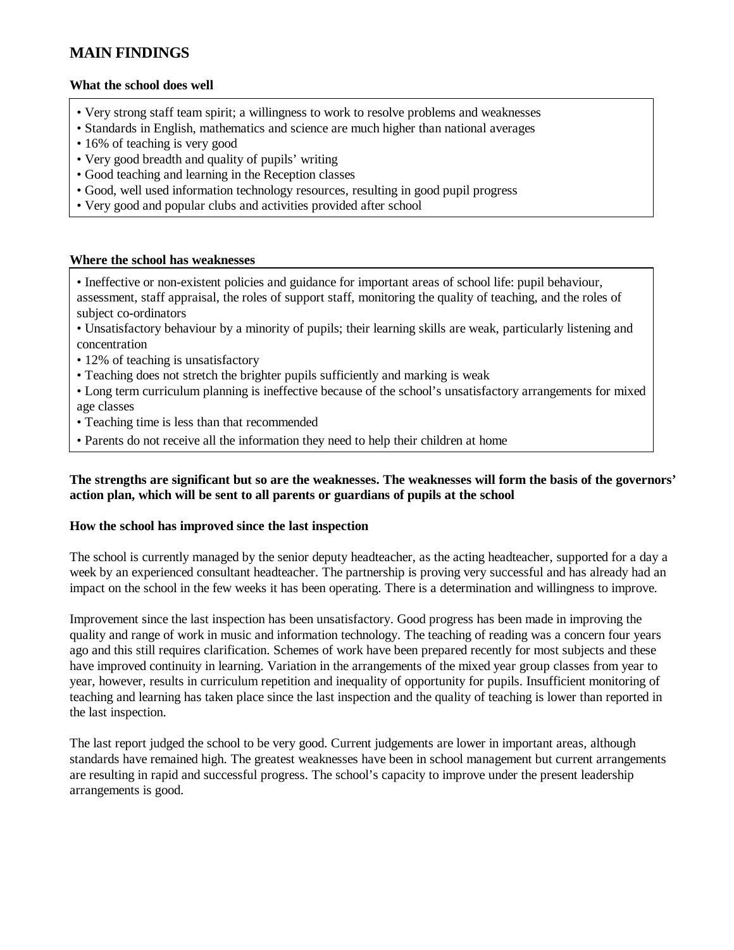## **MAIN FINDINGS**

#### **What the school does well**

- Very strong staff team spirit; a willingness to work to resolve problems and weaknesses
- Standards in English, mathematics and science are much higher than national averages
- 16% of teaching is very good
- Very good breadth and quality of pupils' writing
- Good teaching and learning in the Reception classes
- Good, well used information technology resources, resulting in good pupil progress
- Very good and popular clubs and activities provided after school

#### **Where the school has weaknesses**

• Ineffective or non-existent policies and guidance for important areas of school life: pupil behaviour, assessment, staff appraisal, the roles of support staff, monitoring the quality of teaching, and the roles of subject co-ordinators

- Unsatisfactory behaviour by a minority of pupils; their learning skills are weak, particularly listening and concentration
- 12% of teaching is unsatisfactory
- Teaching does not stretch the brighter pupils sufficiently and marking is weak

• Long term curriculum planning is ineffective because of the school's unsatisfactory arrangements for mixed age classes

- Teaching time is less than that recommended
- Parents do not receive all the information they need to help their children at home

#### **The strengths are significant but so are the weaknesses. The weaknesses will form the basis of the governors' action plan, which will be sent to all parents or guardians of pupils at the school**

#### **How the school has improved since the last inspection**

The school is currently managed by the senior deputy headteacher, as the acting headteacher, supported for a day a week by an experienced consultant headteacher. The partnership is proving very successful and has already had an impact on the school in the few weeks it has been operating. There is a determination and willingness to improve.

Improvement since the last inspection has been unsatisfactory. Good progress has been made in improving the quality and range of work in music and information technology. The teaching of reading was a concern four years ago and this still requires clarification. Schemes of work have been prepared recently for most subjects and these have improved continuity in learning. Variation in the arrangements of the mixed year group classes from year to year, however, results in curriculum repetition and inequality of opportunity for pupils. Insufficient monitoring of teaching and learning has taken place since the last inspection and the quality of teaching is lower than reported in the last inspection.

The last report judged the school to be very good. Current judgements are lower in important areas, although standards have remained high. The greatest weaknesses have been in school management but current arrangements are resulting in rapid and successful progress. The school's capacity to improve under the present leadership arrangements is good.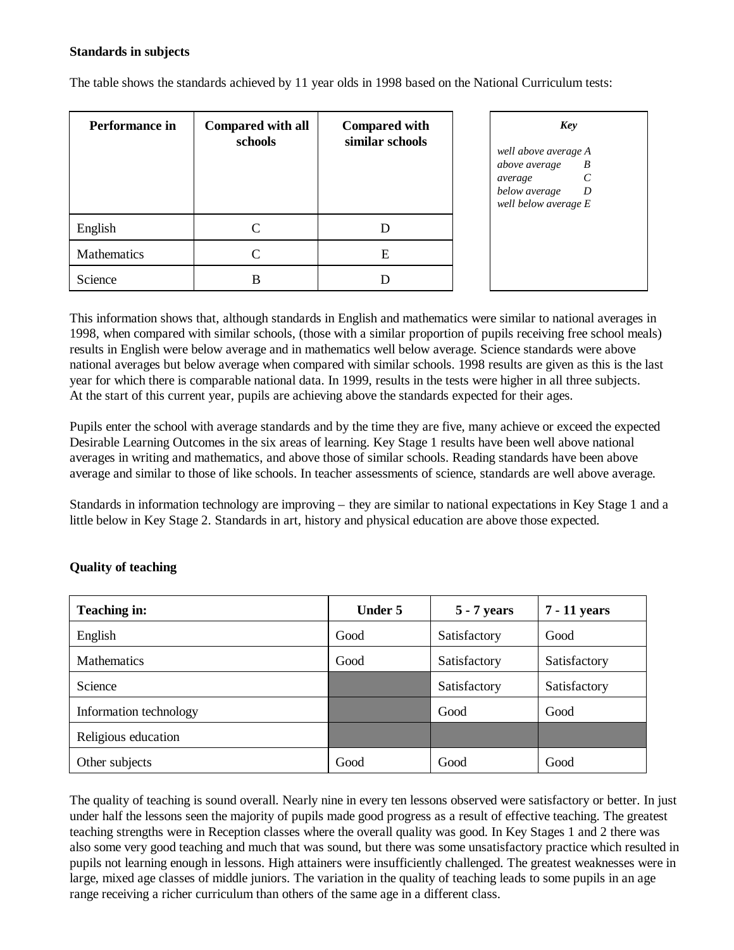#### **Standards in subjects**

The table shows the standards achieved by 11 year olds in 1998 based on the National Curriculum tests:

| Performance in | <b>Compared with all</b><br>schools | <b>Compared with</b><br>similar schools | Key                                                                                                                          |
|----------------|-------------------------------------|-----------------------------------------|------------------------------------------------------------------------------------------------------------------------------|
|                |                                     |                                         | well above average A<br>above average<br>B<br>$\mathcal{C}_{0}^{0}$<br>average<br>below average<br>D<br>well below average E |
| English        | C                                   |                                         |                                                                                                                              |
| Mathematics    | C                                   | E                                       |                                                                                                                              |
| Science        | В                                   |                                         |                                                                                                                              |

This information shows that, although standards in English and mathematics were similar to national averages in 1998, when compared with similar schools, (those with a similar proportion of pupils receiving free school meals) results in English were below average and in mathematics well below average. Science standards were above national averages but below average when compared with similar schools. 1998 results are given as this is the last year for which there is comparable national data. In 1999, results in the tests were higher in all three subjects. At the start of this current year, pupils are achieving above the standards expected for their ages.

Pupils enter the school with average standards and by the time they are five, many achieve or exceed the expected Desirable Learning Outcomes in the six areas of learning. Key Stage 1 results have been well above national averages in writing and mathematics, and above those of similar schools. Reading standards have been above average and similar to those of like schools. In teacher assessments of science, standards are well above average.

Standards in information technology are improving – they are similar to national expectations in Key Stage 1 and a little below in Key Stage 2. Standards in art, history and physical education are above those expected.

| <b>Teaching in:</b>    | <b>Under 5</b> | 5 - 7 years  | 7 - 11 years |
|------------------------|----------------|--------------|--------------|
| English                | Good           | Satisfactory | Good         |
| Mathematics            | Good           | Satisfactory | Satisfactory |
| Science                |                | Satisfactory | Satisfactory |
| Information technology |                | Good         | Good         |
| Religious education    |                |              |              |
| Other subjects         | Good           | Good         | Good         |

## **Quality of teaching**

The quality of teaching is sound overall. Nearly nine in every ten lessons observed were satisfactory or better. In just under half the lessons seen the majority of pupils made good progress as a result of effective teaching. The greatest teaching strengths were in Reception classes where the overall quality was good. In Key Stages 1 and 2 there was also some very good teaching and much that was sound, but there was some unsatisfactory practice which resulted in pupils not learning enough in lessons. High attainers were insufficiently challenged. The greatest weaknesses were in large, mixed age classes of middle juniors. The variation in the quality of teaching leads to some pupils in an age range receiving a richer curriculum than others of the same age in a different class.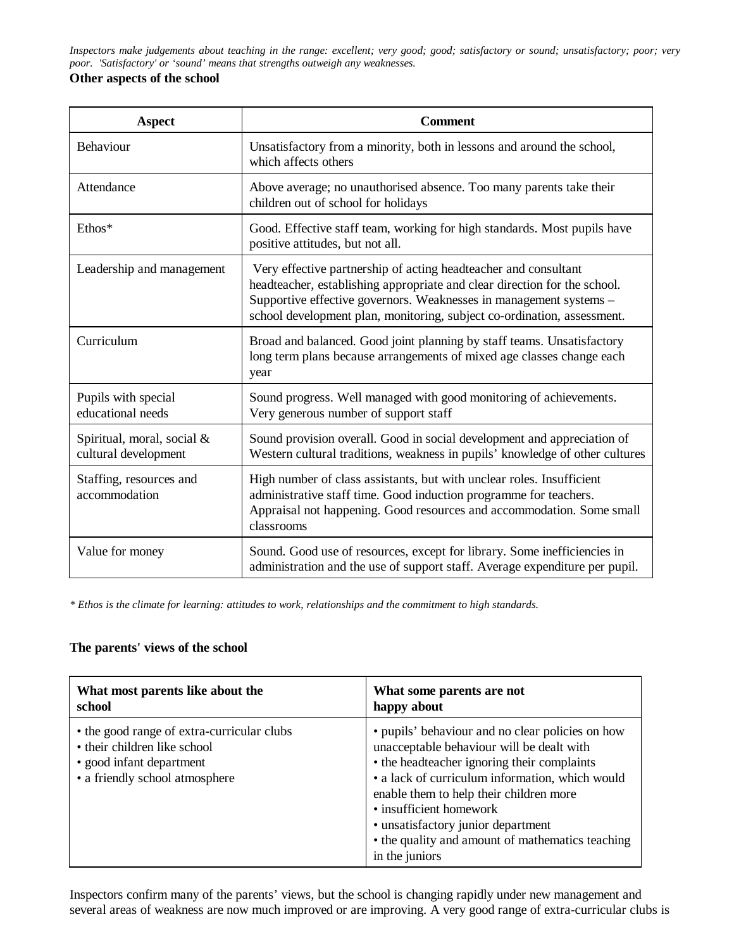*Inspectors make judgements about teaching in the range: excellent; very good; good; satisfactory or sound; unsatisfactory; poor; very poor. 'Satisfactory' or 'sound' means that strengths outweigh any weaknesses.*

#### **Other aspects of the school**

| <b>Aspect</b>                                      | <b>Comment</b>                                                                                                                                                                                                                                                                                |
|----------------------------------------------------|-----------------------------------------------------------------------------------------------------------------------------------------------------------------------------------------------------------------------------------------------------------------------------------------------|
| <b>Behaviour</b>                                   | Unsatisfactory from a minority, both in lessons and around the school,<br>which affects others                                                                                                                                                                                                |
| Attendance                                         | Above average; no unauthorised absence. Too many parents take their<br>children out of school for holidays                                                                                                                                                                                    |
| Ethos*                                             | Good. Effective staff team, working for high standards. Most pupils have<br>positive attitudes, but not all.                                                                                                                                                                                  |
| Leadership and management                          | Very effective partnership of acting headteacher and consultant<br>headteacher, establishing appropriate and clear direction for the school.<br>Supportive effective governors. Weaknesses in management systems -<br>school development plan, monitoring, subject co-ordination, assessment. |
| Curriculum                                         | Broad and balanced. Good joint planning by staff teams. Unsatisfactory<br>long term plans because arrangements of mixed age classes change each<br>year                                                                                                                                       |
| Pupils with special<br>educational needs           | Sound progress. Well managed with good monitoring of achievements.<br>Very generous number of support staff                                                                                                                                                                                   |
| Spiritual, moral, social &<br>cultural development | Sound provision overall. Good in social development and appreciation of<br>Western cultural traditions, weakness in pupils' knowledge of other cultures                                                                                                                                       |
| Staffing, resources and<br>accommodation           | High number of class assistants, but with unclear roles. Insufficient<br>administrative staff time. Good induction programme for teachers.<br>Appraisal not happening. Good resources and accommodation. Some small<br>classrooms                                                             |
| Value for money                                    | Sound. Good use of resources, except for library. Some inefficiencies in<br>administration and the use of support staff. Average expenditure per pupil.                                                                                                                                       |

*\* Ethos is the climate for learning: attitudes to work, relationships and the commitment to high standards.*

## **The parents' views of the school**

| What most parents like about the                                                                                                         | What some parents are not                                                                                                                                                                                                                                                                                                                                                         |
|------------------------------------------------------------------------------------------------------------------------------------------|-----------------------------------------------------------------------------------------------------------------------------------------------------------------------------------------------------------------------------------------------------------------------------------------------------------------------------------------------------------------------------------|
| school                                                                                                                                   | happy about                                                                                                                                                                                                                                                                                                                                                                       |
| • the good range of extra-curricular clubs<br>• their children like school<br>• good infant department<br>• a friendly school atmosphere | • pupils' behaviour and no clear policies on how<br>unacceptable behaviour will be dealt with<br>• the headteacher ignoring their complaints<br>• a lack of curriculum information, which would<br>enable them to help their children more<br>• insufficient homework<br>• unsatisfactory junior department<br>• the quality and amount of mathematics teaching<br>in the juniors |

Inspectors confirm many of the parents' views, but the school is changing rapidly under new management and several areas of weakness are now much improved or are improving. A very good range of extra-curricular clubs is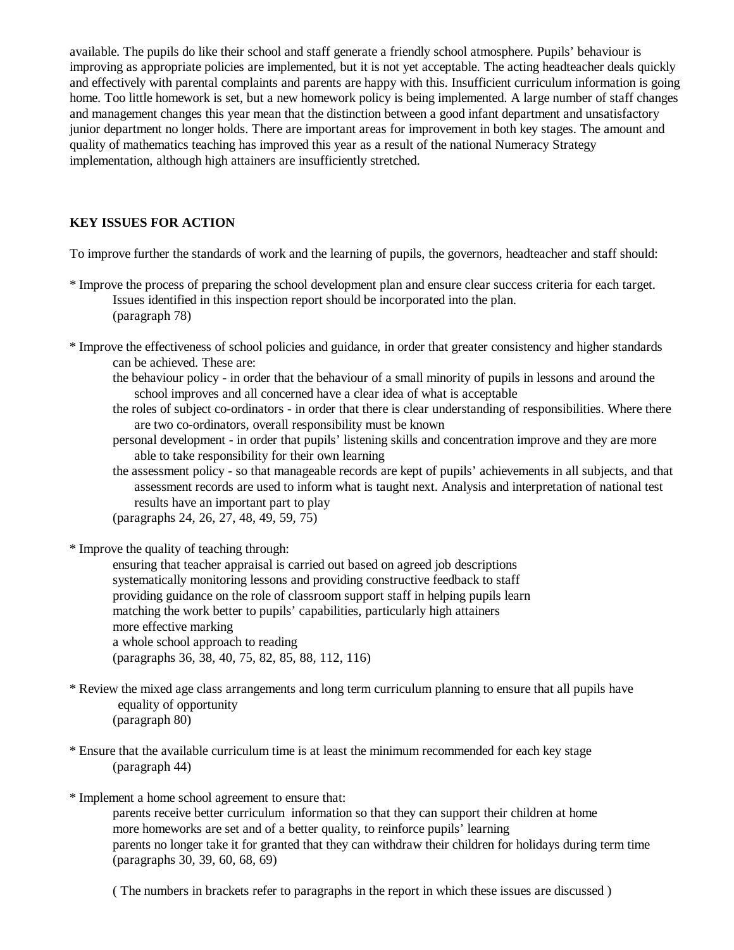available. The pupils do like their school and staff generate a friendly school atmosphere. Pupils' behaviour is improving as appropriate policies are implemented, but it is not yet acceptable. The acting headteacher deals quickly and effectively with parental complaints and parents are happy with this. Insufficient curriculum information is going home. Too little homework is set, but a new homework policy is being implemented. A large number of staff changes and management changes this year mean that the distinction between a good infant department and unsatisfactory junior department no longer holds. There are important areas for improvement in both key stages. The amount and quality of mathematics teaching has improved this year as a result of the national Numeracy Strategy implementation, although high attainers are insufficiently stretched.

## **KEY ISSUES FOR ACTION**

To improve further the standards of work and the learning of pupils, the governors, headteacher and staff should:

- \* Improve the process of preparing the school development plan and ensure clear success criteria for each target. Issues identified in this inspection report should be incorporated into the plan. (paragraph 78)
- \* Improve the effectiveness of school policies and guidance, in order that greater consistency and higher standards can be achieved. These are:
	- the behaviour policy in order that the behaviour of a small minority of pupils in lessons and around the school improves and all concerned have a clear idea of what is acceptable
	- the roles of subject co-ordinators in order that there is clear understanding of responsibilities. Where there are two co-ordinators, overall responsibility must be known
	- personal development in order that pupils' listening skills and concentration improve and they are more able to take responsibility for their own learning
	- the assessment policy so that manageable records are kept of pupils' achievements in all subjects, and that assessment records are used to inform what is taught next. Analysis and interpretation of national test results have an important part to play

(paragraphs 24, 26, 27, 48, 49, 59, 75)

\* Improve the quality of teaching through:

ensuring that teacher appraisal is carried out based on agreed job descriptions systematically monitoring lessons and providing constructive feedback to staff providing guidance on the role of classroom support staff in helping pupils learn matching the work better to pupils' capabilities, particularly high attainers more effective marking a whole school approach to reading (paragraphs 36, 38, 40, 75, 82, 85, 88, 112, 116)

- \* Review the mixed age class arrangements and long term curriculum planning to ensure that all pupils have equality of opportunity (paragraph 80)
- \* Ensure that the available curriculum time is at least the minimum recommended for each key stage (paragraph 44)
- \* Implement a home school agreement to ensure that: parents receive better curriculum information so that they can support their children at home more homeworks are set and of a better quality, to reinforce pupils' learning parents no longer take it for granted that they can withdraw their children for holidays during term time (paragraphs 30, 39, 60, 68, 69)

( The numbers in brackets refer to paragraphs in the report in which these issues are discussed )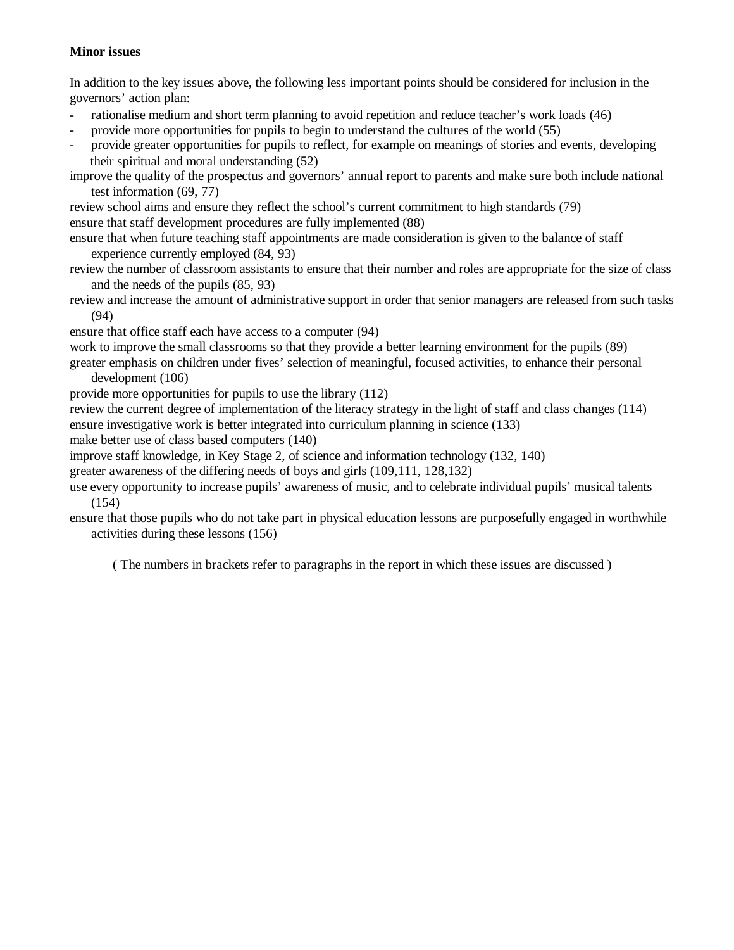#### **Minor issues**

In addition to the key issues above, the following less important points should be considered for inclusion in the governors' action plan:

- rationalise medium and short term planning to avoid repetition and reduce teacher's work loads (46)
- provide more opportunities for pupils to begin to understand the cultures of the world (55)
- provide greater opportunities for pupils to reflect, for example on meanings of stories and events, developing their spiritual and moral understanding (52)

improve the quality of the prospectus and governors' annual report to parents and make sure both include national test information (69, 77)

review school aims and ensure they reflect the school's current commitment to high standards (79) ensure that staff development procedures are fully implemented (88)

ensure that when future teaching staff appointments are made consideration is given to the balance of staff experience currently employed (84, 93)

review the number of classroom assistants to ensure that their number and roles are appropriate for the size of class and the needs of the pupils (85, 93)

review and increase the amount of administrative support in order that senior managers are released from such tasks (94)

ensure that office staff each have access to a computer (94)

work to improve the small classrooms so that they provide a better learning environment for the pupils (89)

greater emphasis on children under fives' selection of meaningful, focused activities, to enhance their personal development (106)

provide more opportunities for pupils to use the library (112)

review the current degree of implementation of the literacy strategy in the light of staff and class changes (114) ensure investigative work is better integrated into curriculum planning in science (133)

make better use of class based computers (140)

improve staff knowledge, in Key Stage 2, of science and information technology (132, 140)

greater awareness of the differing needs of boys and girls (109,111, 128,132)

use every opportunity to increase pupils' awareness of music, and to celebrate individual pupils' musical talents (154)

ensure that those pupils who do not take part in physical education lessons are purposefully engaged in worthwhile activities during these lessons (156)

( The numbers in brackets refer to paragraphs in the report in which these issues are discussed )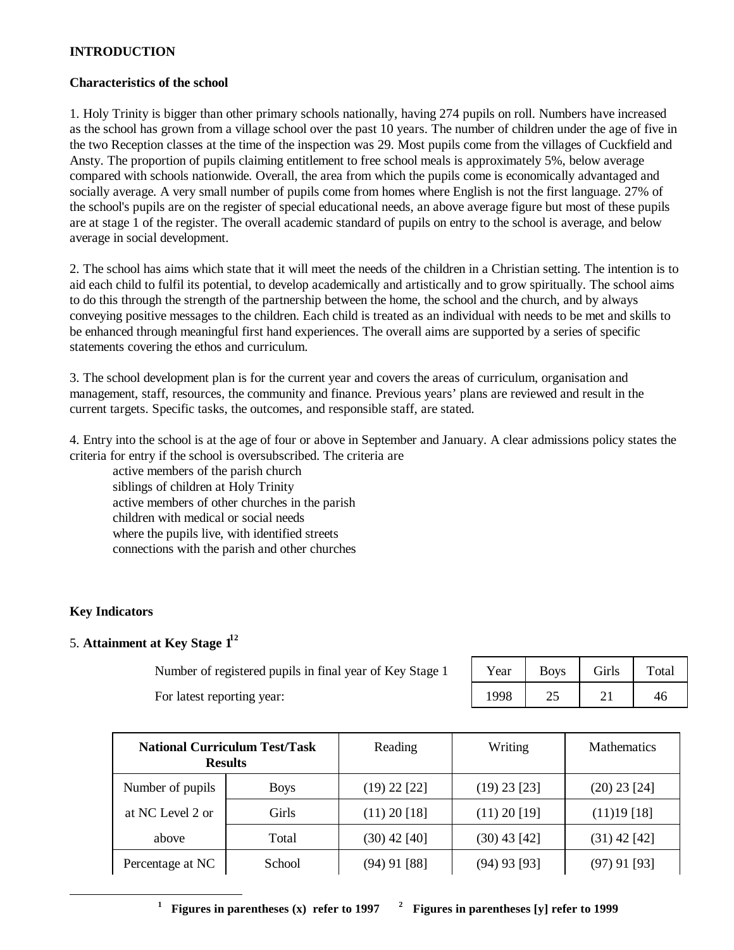#### **INTRODUCTION**

#### **Characteristics of the school**

1. Holy Trinity is bigger than other primary schools nationally, having 274 pupils on roll. Numbers have increased as the school has grown from a village school over the past 10 years. The number of children under the age of five in the two Reception classes at the time of the inspection was 29. Most pupils come from the villages of Cuckfield and Ansty. The proportion of pupils claiming entitlement to free school meals is approximately 5%, below average compared with schools nationwide. Overall, the area from which the pupils come is economically advantaged and socially average. A very small number of pupils come from homes where English is not the first language. 27% of the school's pupils are on the register of special educational needs, an above average figure but most of these pupils are at stage 1 of the register. The overall academic standard of pupils on entry to the school is average, and below average in social development.

2. The school has aims which state that it will meet the needs of the children in a Christian setting. The intention is to aid each child to fulfil its potential, to develop academically and artistically and to grow spiritually. The school aims to do this through the strength of the partnership between the home, the school and the church, and by always conveying positive messages to the children. Each child is treated as an individual with needs to be met and skills to be enhanced through meaningful first hand experiences. The overall aims are supported by a series of specific statements covering the ethos and curriculum.

3. The school development plan is for the current year and covers the areas of curriculum, organisation and management, staff, resources, the community and finance. Previous years' plans are reviewed and result in the current targets. Specific tasks, the outcomes, and responsible staff, are stated.

4. Entry into the school is at the age of four or above in September and January. A clear admissions policy states the criteria for entry if the school is oversubscribed. The criteria are

active members of the parish church siblings of children at Holy Trinity active members of other churches in the parish children with medical or social needs where the pupils live, with identified streets connections with the parish and other churches

## **Key Indicators**

-

## 5. **Attainment at Key Stage 1<sup>1</sup><sup>2</sup>**

Number of registered pupils in final year of Key Stage 1

| Year | <b>Boys</b> | Girls | Total |
|------|-------------|-------|-------|
| 1998 | 25          |       |       |

For latest reporting year:

| <b>Results</b>   | <b>National Curriculum Test/Task</b> | Reading        | Writing        | <b>Mathematics</b> |
|------------------|--------------------------------------|----------------|----------------|--------------------|
| Number of pupils | <b>Boys</b>                          | $(19)$ 22 [22] | $(19)$ 23 [23] | $(20)$ 23 [24]     |
| at NC Level 2 or | Girls                                | $(11)$ 20 [18] | $(11)$ 20 [19] | $(11)19$ [18]      |
| above            | Total                                | $(30)$ 42 [40] | $(30)$ 43 [42] | $(31)$ 42 [42]     |
| Percentage at NC | School                               | $(94)$ 91 [88] | $(94)$ 93 [93] | $(97)$ 91 [93]     |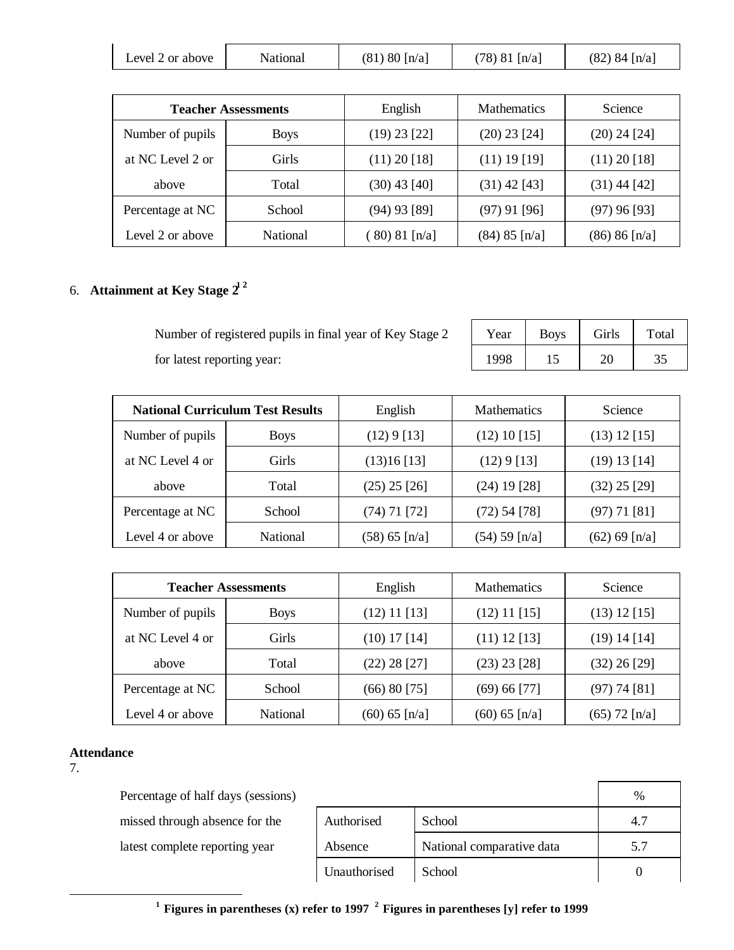| Level 2 or above | National | $(81) 80$ [n/a] | $(78)$ 81 [n/a] | $(82)$ 84 [n/a] |
|------------------|----------|-----------------|-----------------|-----------------|
|------------------|----------|-----------------|-----------------|-----------------|

|                  | <b>Teacher Assessments</b> | English        | <b>Mathematics</b> | <b>Science</b>   |
|------------------|----------------------------|----------------|--------------------|------------------|
| Number of pupils | <b>Boys</b>                | $(19)$ 23 [22] | $(20)$ 23 [24]     | $(20)$ 24 $[24]$ |
| at NC Level 2 or | <b>Girls</b>               | $(11)$ 20 [18] | $(11)$ 19 [19]     | $(11)$ 20 [18]   |
| above            | Total                      | $(30)$ 43 [40] | $(31)$ 42 [43]     | $(31)$ 44 [42]   |
| Percentage at NC | School                     | $(94)$ 93 [89] | $(97)$ 91 [96]     | $(97)$ 96 [93]   |
| Level 2 or above | <b>National</b>            | 80) 81 $[n/a]$ | $(84) 85$ [n/a]    | (86) 86 [n/a]    |

# 6. **Attainment at Key Stage 2<sup>1</sup> <sup>2</sup>**

Number of registered pupils in final year of Key Stage 2 Year | Boys | Girls | Total for latest reporting year: 1998 15 20 35

| <b>National Curriculum Test Results</b> |                 | English         | <b>Mathematics</b> | Science          |
|-----------------------------------------|-----------------|-----------------|--------------------|------------------|
| Number of pupils                        | <b>Boys</b>     | (12) 9 [13]     | $(12)$ 10 [15]     | $(13)$ 12 [15]   |
| at NC Level 4 or                        | <b>Girls</b>    | $(13)16$ [13]   | (12) 9 [13]        | (19) 13 [14]     |
| above                                   | Total           | $(25)$ 25 [26]  | $(24)$ 19 [28]     | $(32)$ 25 [29]   |
| Percentage at NC                        | School          | $(74)$ 71 [72]  | $(72)$ 54 [78]     | (97) 71 [81]     |
| Level 4 or above                        | <b>National</b> | $(58) 65$ [n/a] | (54) 59 [n/a]      | $(62) 69 \ln(a)$ |

| <b>Teacher Assessments</b> |                 | English          | <b>Mathematics</b> | Science         |
|----------------------------|-----------------|------------------|--------------------|-----------------|
| Number of pupils           | <b>Boys</b>     | $(12)$ 11 $[13]$ | $(12)$ 11 [15]     | $(13)$ 12 [15]  |
| at NC Level 4 or           | Girls           | $(10)$ 17 $[14]$ | $(11)$ 12 [13]     | $(19)$ 14 [14]  |
| above                      | Total           | $(22)$ 28 [27]   | $(23)$ 23 [28]     | $(32)$ 26 [29]  |
| Percentage at NC           | School          | (66) 80 [75]     | (69) 66 [77]       | (97) 74 [81]    |
| Level 4 or above           | <b>National</b> | $(60) 65$ [n/a]  | $(60) 65$ [n/a]    | $(65)$ 72 [n/a] |

#### **Attendance**

7.

-

Percentage of half days (sessions) missed through absence for the latest complete reporting year

|              |                           | %   |
|--------------|---------------------------|-----|
| Authorised   | School                    |     |
| Absence      | National comparative data | 5.7 |
| Unauthorised | School                    |     |

**<sup>1</sup>Figures in parentheses (x) refer to 1997 <sup>2</sup>Figures in parentheses [y] refer to 1999**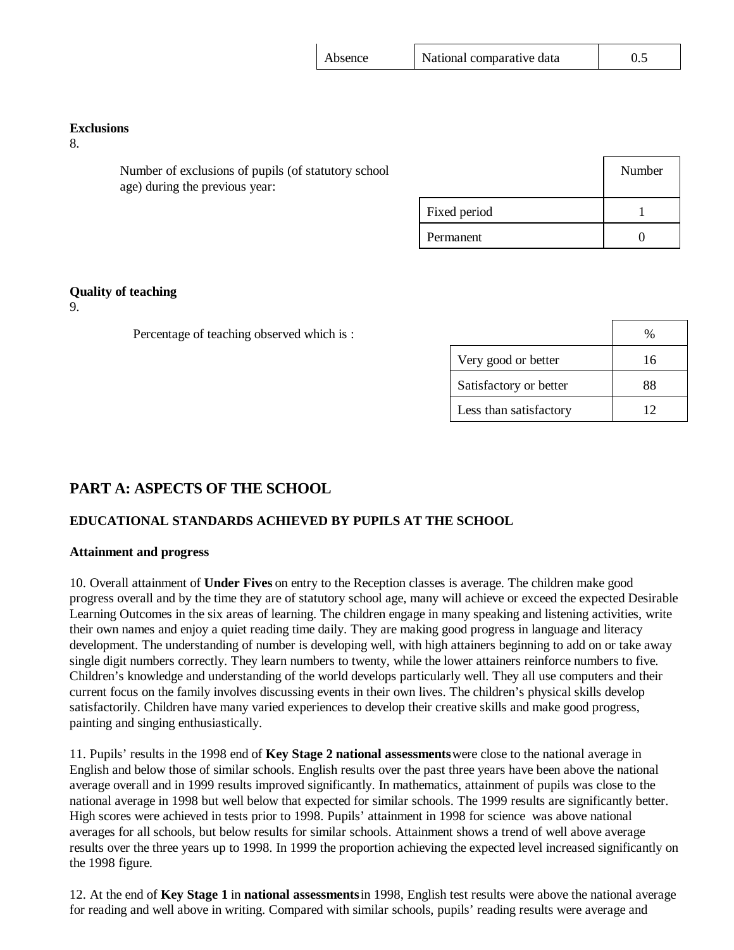| Absence | National comparative data | 0.5 |
|---------|---------------------------|-----|
|---------|---------------------------|-----|

#### **Exclusions**

8.

Number of exclusions of pupils (of statutory school age) during the previous year:

|              | Number |
|--------------|--------|
| Fixed period |        |
| Permanent    |        |

#### **Quality of teaching**

9.

Percentage of teaching observed which is :

|                        | $\%$ |
|------------------------|------|
| Very good or better    | 16   |
| Satisfactory or better | 88   |
| Less than satisfactory | 12   |

## **PART A: ASPECTS OF THE SCHOOL**

## **EDUCATIONAL STANDARDS ACHIEVED BY PUPILS AT THE SCHOOL**

#### **Attainment and progress**

10. Overall attainment of **Under Fives** on entry to the Reception classes is average. The children make good progress overall and by the time they are of statutory school age, many will achieve or exceed the expected Desirable Learning Outcomes in the six areas of learning. The children engage in many speaking and listening activities, write their own names and enjoy a quiet reading time daily. They are making good progress in language and literacy development. The understanding of number is developing well, with high attainers beginning to add on or take away single digit numbers correctly. They learn numbers to twenty, while the lower attainers reinforce numbers to five. Children's knowledge and understanding of the world develops particularly well. They all use computers and their current focus on the family involves discussing events in their own lives. The children's physical skills develop satisfactorily. Children have many varied experiences to develop their creative skills and make good progress, painting and singing enthusiastically.

11. Pupils' results in the 1998 end of **Key Stage 2 national assessments** were close to the national average in English and below those of similar schools. English results over the past three years have been above the national average overall and in 1999 results improved significantly. In mathematics, attainment of pupils was close to the national average in 1998 but well below that expected for similar schools. The 1999 results are significantly better. High scores were achieved in tests prior to 1998. Pupils' attainment in 1998 for science was above national averages for all schools, but below results for similar schools. Attainment shows a trend of well above average results over the three years up to 1998. In 1999 the proportion achieving the expected level increased significantly on the 1998 figure.

12. At the end of **Key Stage 1** in **national assessments** in 1998, English test results were above the national average for reading and well above in writing. Compared with similar schools, pupils' reading results were average and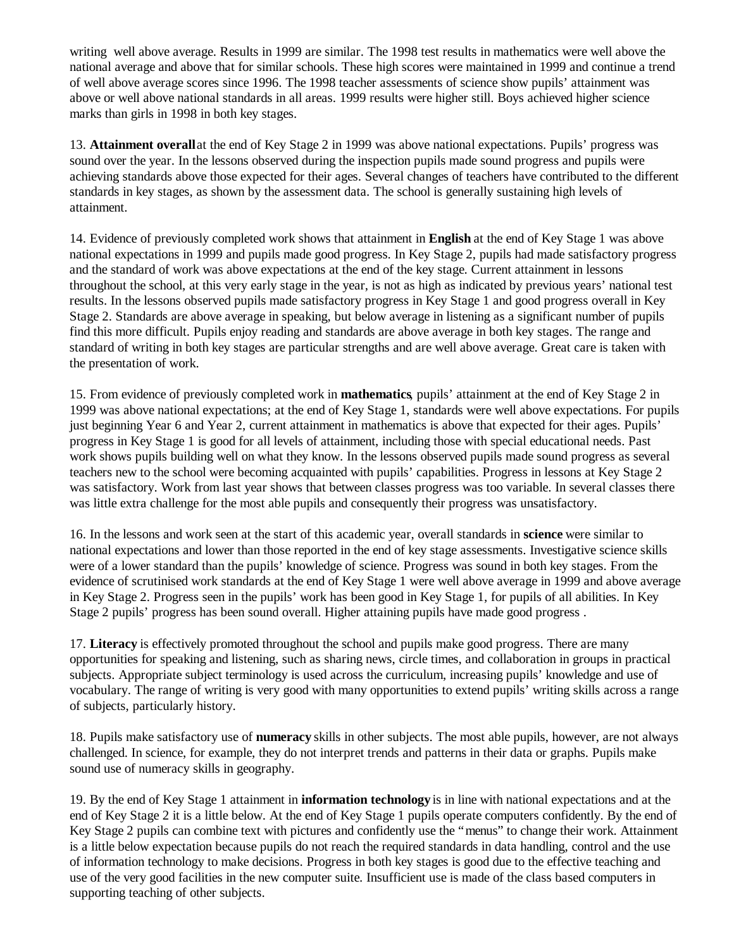writing well above average. Results in 1999 are similar. The 1998 test results in mathematics were well above the national average and above that for similar schools. These high scores were maintained in 1999 and continue a trend of well above average scores since 1996. The 1998 teacher assessments of science show pupils' attainment was above or well above national standards in all areas. 1999 results were higher still. Boys achieved higher science marks than girls in 1998 in both key stages.

13. **Attainment overall** at the end of Key Stage 2 in 1999 was above national expectations. Pupils' progress was sound over the year. In the lessons observed during the inspection pupils made sound progress and pupils were achieving standards above those expected for their ages. Several changes of teachers have contributed to the different standards in key stages, as shown by the assessment data. The school is generally sustaining high levels of attainment.

14. Evidence of previously completed work shows that attainment in **English** at the end of Key Stage 1 was above national expectations in 1999 and pupils made good progress. In Key Stage 2, pupils had made satisfactory progress and the standard of work was above expectations at the end of the key stage. Current attainment in lessons throughout the school, at this very early stage in the year, is not as high as indicated by previous years' national test results. In the lessons observed pupils made satisfactory progress in Key Stage 1 and good progress overall in Key Stage 2. Standards are above average in speaking, but below average in listening as a significant number of pupils find this more difficult. Pupils enjoy reading and standards are above average in both key stages. The range and standard of writing in both key stages are particular strengths and are well above average. Great care is taken with the presentation of work.

15. From evidence of previously completed work in **mathematics**, pupils' attainment at the end of Key Stage 2 in 1999 was above national expectations; at the end of Key Stage 1, standards were well above expectations. For pupils just beginning Year 6 and Year 2, current attainment in mathematics is above that expected for their ages. Pupils' progress in Key Stage 1 is good for all levels of attainment, including those with special educational needs. Past work shows pupils building well on what they know. In the lessons observed pupils made sound progress as several teachers new to the school were becoming acquainted with pupils' capabilities. Progress in lessons at Key Stage 2 was satisfactory. Work from last year shows that between classes progress was too variable. In several classes there was little extra challenge for the most able pupils and consequently their progress was unsatisfactory.

16. In the lessons and work seen at the start of this academic year, overall standards in **science** were similar to national expectations and lower than those reported in the end of key stage assessments. Investigative science skills were of a lower standard than the pupils' knowledge of science. Progress was sound in both key stages. From the evidence of scrutinised work standards at the end of Key Stage 1 were well above average in 1999 and above average in Key Stage 2. Progress seen in the pupils' work has been good in Key Stage 1, for pupils of all abilities. In Key Stage 2 pupils' progress has been sound overall. Higher attaining pupils have made good progress .

17. **Literacy** is effectively promoted throughout the school and pupils make good progress. There are many opportunities for speaking and listening, such as sharing news, circle times, and collaboration in groups in practical subjects. Appropriate subject terminology is used across the curriculum, increasing pupils' knowledge and use of vocabulary. The range of writing is very good with many opportunities to extend pupils' writing skills across a range of subjects, particularly history.

18. Pupils make satisfactory use of **numeracy** skills in other subjects. The most able pupils, however, are not always challenged. In science, for example, they do not interpret trends and patterns in their data or graphs. Pupils make sound use of numeracy skills in geography.

19. By the end of Key Stage 1 attainment in **information technology** is in line with national expectations and at the end of Key Stage 2 it is a little below. At the end of Key Stage 1 pupils operate computers confidently. By the end of Key Stage 2 pupils can combine text with pictures and confidently use the "menus" to change their work. Attainment is a little below expectation because pupils do not reach the required standards in data handling, control and the use of information technology to make decisions. Progress in both key stages is good due to the effective teaching and use of the very good facilities in the new computer suite. Insufficient use is made of the class based computers in supporting teaching of other subjects.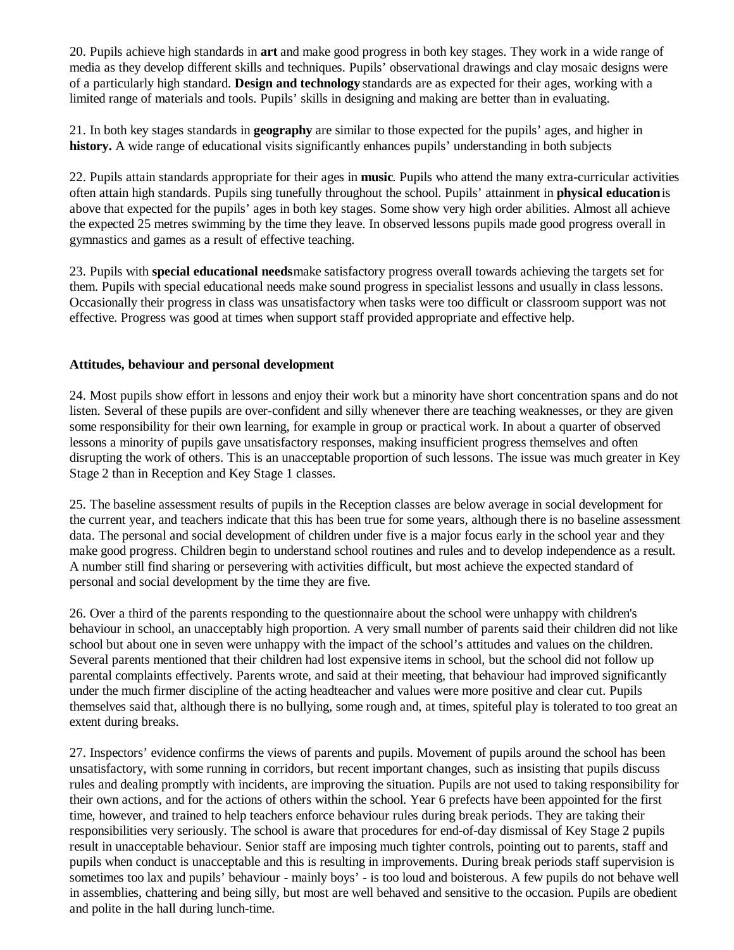20. Pupils achieve high standards in **art** and make good progress in both key stages. They work in a wide range of media as they develop different skills and techniques. Pupils' observational drawings and clay mosaic designs were of a particularly high standard. **Design and technology** standards are as expected for their ages, working with a limited range of materials and tools. Pupils' skills in designing and making are better than in evaluating.

21. In both key stages standards in **geography** are similar to those expected for the pupils' ages, and higher in **history.** A wide range of educational visits significantly enhances pupils' understanding in both subjects

22. Pupils attain standards appropriate for their ages in **music**. Pupils who attend the many extra-curricular activities often attain high standards. Pupils sing tunefully throughout the school. Pupils' attainment in **physical education** is above that expected for the pupils' ages in both key stages. Some show very high order abilities. Almost all achieve the expected 25 metres swimming by the time they leave. In observed lessons pupils made good progress overall in gymnastics and games as a result of effective teaching.

23. Pupils with **special educational needs** make satisfactory progress overall towards achieving the targets set for them. Pupils with special educational needs make sound progress in specialist lessons and usually in class lessons. Occasionally their progress in class was unsatisfactory when tasks were too difficult or classroom support was not effective. Progress was good at times when support staff provided appropriate and effective help.

#### **Attitudes, behaviour and personal development**

24. Most pupils show effort in lessons and enjoy their work but a minority have short concentration spans and do not listen. Several of these pupils are over-confident and silly whenever there are teaching weaknesses, or they are given some responsibility for their own learning, for example in group or practical work. In about a quarter of observed lessons a minority of pupils gave unsatisfactory responses, making insufficient progress themselves and often disrupting the work of others. This is an unacceptable proportion of such lessons. The issue was much greater in Key Stage 2 than in Reception and Key Stage 1 classes.

25. The baseline assessment results of pupils in the Reception classes are below average in social development for the current year, and teachers indicate that this has been true for some years, although there is no baseline assessment data. The personal and social development of children under five is a major focus early in the school year and they make good progress. Children begin to understand school routines and rules and to develop independence as a result. A number still find sharing or persevering with activities difficult, but most achieve the expected standard of personal and social development by the time they are five.

26. Over a third of the parents responding to the questionnaire about the school were unhappy with children's behaviour in school, an unacceptably high proportion. A very small number of parents said their children did not like school but about one in seven were unhappy with the impact of the school's attitudes and values on the children. Several parents mentioned that their children had lost expensive items in school, but the school did not follow up parental complaints effectively. Parents wrote, and said at their meeting, that behaviour had improved significantly under the much firmer discipline of the acting headteacher and values were more positive and clear cut. Pupils themselves said that, although there is no bullying, some rough and, at times, spiteful play is tolerated to too great an extent during breaks.

27. Inspectors' evidence confirms the views of parents and pupils. Movement of pupils around the school has been unsatisfactory, with some running in corridors, but recent important changes, such as insisting that pupils discuss rules and dealing promptly with incidents, are improving the situation. Pupils are not used to taking responsibility for their own actions, and for the actions of others within the school. Year 6 prefects have been appointed for the first time, however, and trained to help teachers enforce behaviour rules during break periods. They are taking their responsibilities very seriously. The school is aware that procedures for end-of-day dismissal of Key Stage 2 pupils result in unacceptable behaviour. Senior staff are imposing much tighter controls, pointing out to parents, staff and pupils when conduct is unacceptable and this is resulting in improvements. During break periods staff supervision is sometimes too lax and pupils' behaviour - mainly boys' - is too loud and boisterous. A few pupils do not behave well in assemblies, chattering and being silly, but most are well behaved and sensitive to the occasion. Pupils are obedient and polite in the hall during lunch-time.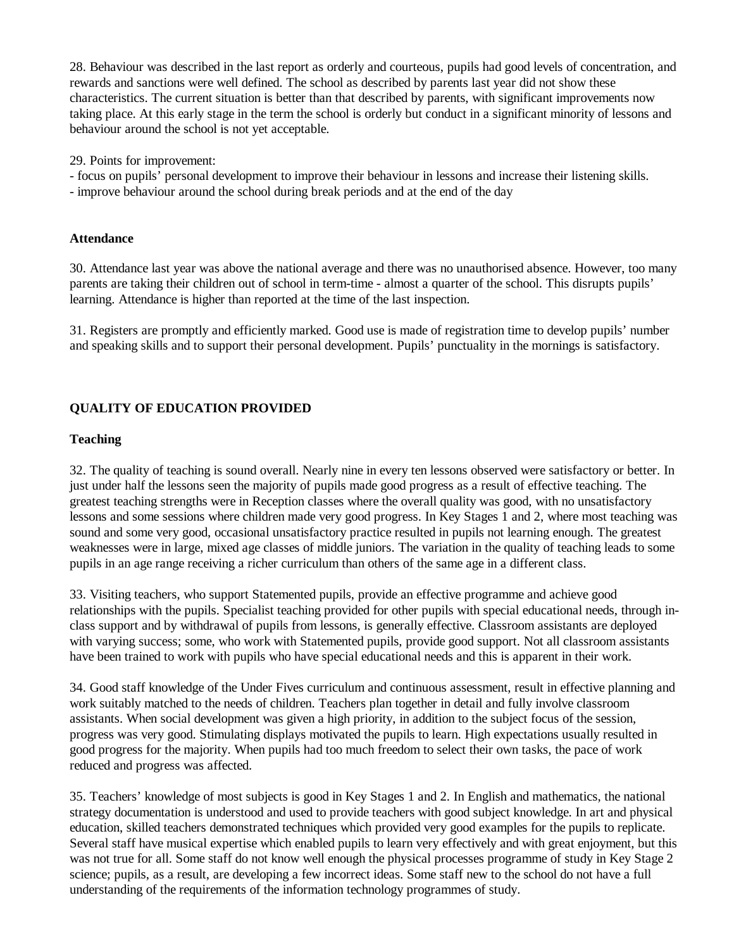28. Behaviour was described in the last report as orderly and courteous, pupils had good levels of concentration, and rewards and sanctions were well defined. The school as described by parents last year did not show these characteristics. The current situation is better than that described by parents, with significant improvements now taking place. At this early stage in the term the school is orderly but conduct in a significant minority of lessons and behaviour around the school is not yet acceptable.

29. Points for improvement:

- focus on pupils' personal development to improve their behaviour in lessons and increase their listening skills.
- improve behaviour around the school during break periods and at the end of the day

#### **Attendance**

30. Attendance last year was above the national average and there was no unauthorised absence. However, too many parents are taking their children out of school in term-time - almost a quarter of the school. This disrupts pupils' learning. Attendance is higher than reported at the time of the last inspection.

31. Registers are promptly and efficiently marked. Good use is made of registration time to develop pupils' number and speaking skills and to support their personal development. Pupils' punctuality in the mornings is satisfactory.

## **QUALITY OF EDUCATION PROVIDED**

#### **Teaching**

32. The quality of teaching is sound overall. Nearly nine in every ten lessons observed were satisfactory or better. In just under half the lessons seen the majority of pupils made good progress as a result of effective teaching. The greatest teaching strengths were in Reception classes where the overall quality was good, with no unsatisfactory lessons and some sessions where children made very good progress. In Key Stages 1 and 2, where most teaching was sound and some very good, occasional unsatisfactory practice resulted in pupils not learning enough. The greatest weaknesses were in large, mixed age classes of middle juniors. The variation in the quality of teaching leads to some pupils in an age range receiving a richer curriculum than others of the same age in a different class.

33. Visiting teachers, who support Statemented pupils, provide an effective programme and achieve good relationships with the pupils. Specialist teaching provided for other pupils with special educational needs, through inclass support and by withdrawal of pupils from lessons, is generally effective. Classroom assistants are deployed with varying success; some, who work with Statemented pupils, provide good support. Not all classroom assistants have been trained to work with pupils who have special educational needs and this is apparent in their work.

34. Good staff knowledge of the Under Fives curriculum and continuous assessment, result in effective planning and work suitably matched to the needs of children. Teachers plan together in detail and fully involve classroom assistants. When social development was given a high priority, in addition to the subject focus of the session, progress was very good. Stimulating displays motivated the pupils to learn. High expectations usually resulted in good progress for the majority. When pupils had too much freedom to select their own tasks, the pace of work reduced and progress was affected.

35. Teachers' knowledge of most subjects is good in Key Stages 1 and 2. In English and mathematics, the national strategy documentation is understood and used to provide teachers with good subject knowledge. In art and physical education, skilled teachers demonstrated techniques which provided very good examples for the pupils to replicate. Several staff have musical expertise which enabled pupils to learn very effectively and with great enjoyment, but this was not true for all. Some staff do not know well enough the physical processes programme of study in Key Stage 2 science; pupils, as a result, are developing a few incorrect ideas. Some staff new to the school do not have a full understanding of the requirements of the information technology programmes of study.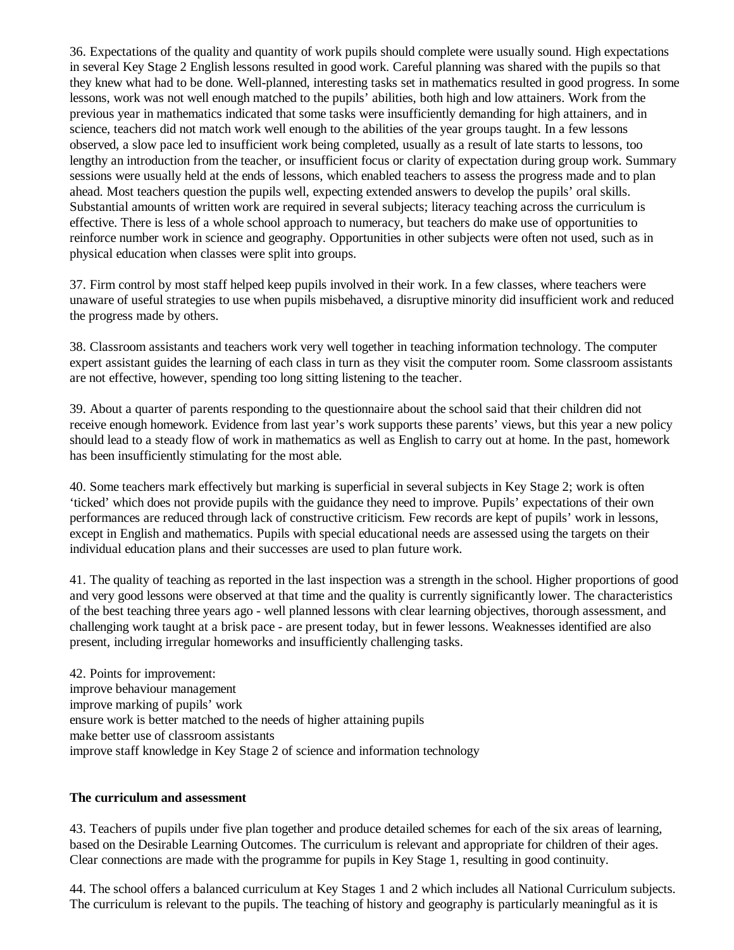36. Expectations of the quality and quantity of work pupils should complete were usually sound. High expectations in several Key Stage 2 English lessons resulted in good work. Careful planning was shared with the pupils so that they knew what had to be done. Well-planned, interesting tasks set in mathematics resulted in good progress. In some lessons, work was not well enough matched to the pupils' abilities, both high and low attainers. Work from the previous year in mathematics indicated that some tasks were insufficiently demanding for high attainers, and in science, teachers did not match work well enough to the abilities of the year groups taught. In a few lessons observed, a slow pace led to insufficient work being completed, usually as a result of late starts to lessons, too lengthy an introduction from the teacher, or insufficient focus or clarity of expectation during group work. Summary sessions were usually held at the ends of lessons, which enabled teachers to assess the progress made and to plan ahead. Most teachers question the pupils well, expecting extended answers to develop the pupils' oral skills. Substantial amounts of written work are required in several subjects; literacy teaching across the curriculum is effective. There is less of a whole school approach to numeracy, but teachers do make use of opportunities to reinforce number work in science and geography. Opportunities in other subjects were often not used, such as in physical education when classes were split into groups.

37. Firm control by most staff helped keep pupils involved in their work. In a few classes, where teachers were unaware of useful strategies to use when pupils misbehaved, a disruptive minority did insufficient work and reduced the progress made by others.

38. Classroom assistants and teachers work very well together in teaching information technology. The computer expert assistant guides the learning of each class in turn as they visit the computer room. Some classroom assistants are not effective, however, spending too long sitting listening to the teacher.

39. About a quarter of parents responding to the questionnaire about the school said that their children did not receive enough homework. Evidence from last year's work supports these parents' views, but this year a new policy should lead to a steady flow of work in mathematics as well as English to carry out at home. In the past, homework has been insufficiently stimulating for the most able.

40. Some teachers mark effectively but marking is superficial in several subjects in Key Stage 2; work is often 'ticked' which does not provide pupils with the guidance they need to improve. Pupils' expectations of their own performances are reduced through lack of constructive criticism. Few records are kept of pupils' work in lessons, except in English and mathematics. Pupils with special educational needs are assessed using the targets on their individual education plans and their successes are used to plan future work.

41. The quality of teaching as reported in the last inspection was a strength in the school. Higher proportions of good and very good lessons were observed at that time and the quality is currently significantly lower. The characteristics of the best teaching three years ago - well planned lessons with clear learning objectives, thorough assessment, and challenging work taught at a brisk pace - are present today, but in fewer lessons. Weaknesses identified are also present, including irregular homeworks and insufficiently challenging tasks.

42. Points for improvement: improve behaviour management improve marking of pupils' work ensure work is better matched to the needs of higher attaining pupils make better use of classroom assistants improve staff knowledge in Key Stage 2 of science and information technology

#### **The curriculum and assessment**

43. Teachers of pupils under five plan together and produce detailed schemes for each of the six areas of learning, based on the Desirable Learning Outcomes. The curriculum is relevant and appropriate for children of their ages. Clear connections are made with the programme for pupils in Key Stage 1, resulting in good continuity.

44. The school offers a balanced curriculum at Key Stages 1 and 2 which includes all National Curriculum subjects. The curriculum is relevant to the pupils. The teaching of history and geography is particularly meaningful as it is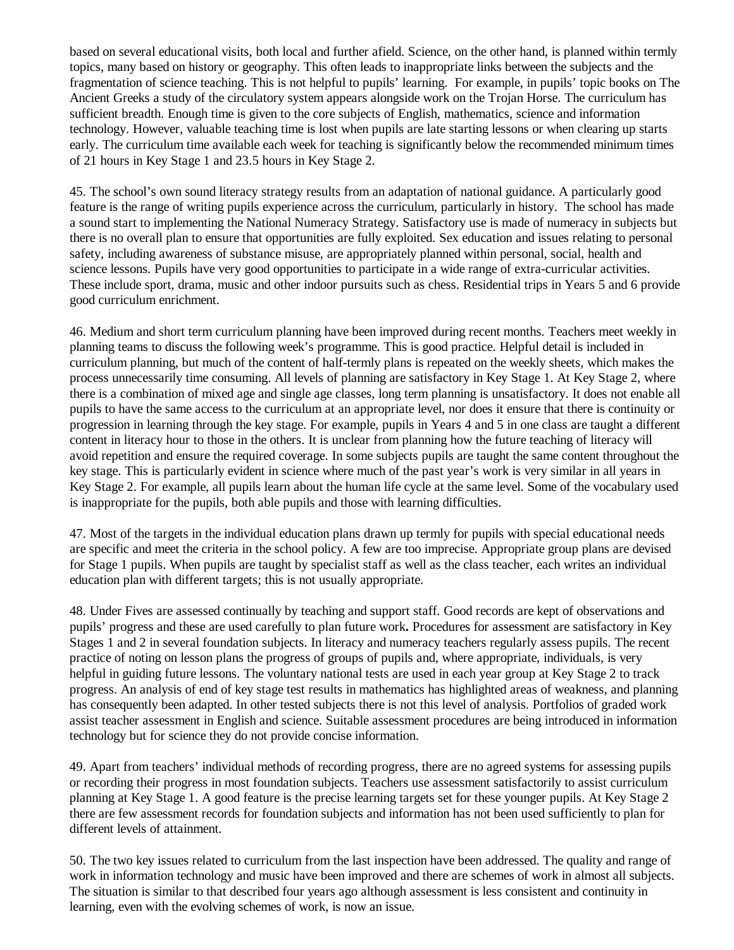based on several educational visits, both local and further afield. Science, on the other hand, is planned within termly topics, many based on history or geography. This often leads to inappropriate links between the subjects and the fragmentation of science teaching. This is not helpful to pupils' learning. For example, in pupils' topic books on The Ancient Greeks a study of the circulatory system appears alongside work on the Trojan Horse. The curriculum has sufficient breadth. Enough time is given to the core subjects of English, mathematics, science and information technology. However, valuable teaching time is lost when pupils are late starting lessons or when clearing up starts early. The curriculum time available each week for teaching is significantly below the recommended minimum times of 21 hours in Key Stage 1 and 23.5 hours in Key Stage 2.

45. The school's own sound literacy strategy results from an adaptation of national guidance. A particularly good feature is the range of writing pupils experience across the curriculum, particularly in history. The school has made a sound start to implementing the National Numeracy Strategy. Satisfactory use is made of numeracy in subjects but there is no overall plan to ensure that opportunities are fully exploited. Sex education and issues relating to personal safety, including awareness of substance misuse, are appropriately planned within personal, social, health and science lessons. Pupils have very good opportunities to participate in a wide range of extra-curricular activities. These include sport, drama, music and other indoor pursuits such as chess. Residential trips in Years 5 and 6 provide good curriculum enrichment.

46. Medium and short term curriculum planning have been improved during recent months. Teachers meet weekly in planning teams to discuss the following week's programme. This is good practice. Helpful detail is included in curriculum planning, but much of the content of half-termly plans is repeated on the weekly sheets, which makes the process unnecessarily time consuming. All levels of planning are satisfactory in Key Stage 1. At Key Stage 2, where there is a combination of mixed age and single age classes, long term planning is unsatisfactory. It does not enable all pupils to have the same access to the curriculum at an appropriate level, nor does it ensure that there is continuity or progression in learning through the key stage. For example, pupils in Years 4 and 5 in one class are taught a different content in literacy hour to those in the others. It is unclear from planning how the future teaching of literacy will avoid repetition and ensure the required coverage. In some subjects pupils are taught the same content throughout the key stage. This is particularly evident in science where much of the past year's work is very similar in all years in Key Stage 2. For example, all pupils learn about the human life cycle at the same level. Some of the vocabulary used is inappropriate for the pupils, both able pupils and those with learning difficulties.

47. Most of the targets in the individual education plans drawn up termly for pupils with special educational needs are specific and meet the criteria in the school policy. A few are too imprecise. Appropriate group plans are devised for Stage 1 pupils. When pupils are taught by specialist staff as well as the class teacher, each writes an individual education plan with different targets; this is not usually appropriate.

48. Under Fives are assessed continually by teaching and support staff. Good records are kept of observations and pupils' progress and these are used carefully to plan future work**.** Procedures for assessment are satisfactory in Key Stages 1 and 2 in several foundation subjects. In literacy and numeracy teachers regularly assess pupils. The recent practice of noting on lesson plans the progress of groups of pupils and, where appropriate, individuals, is very helpful in guiding future lessons. The voluntary national tests are used in each year group at Key Stage 2 to track progress. An analysis of end of key stage test results in mathematics has highlighted areas of weakness, and planning has consequently been adapted. In other tested subjects there is not this level of analysis. Portfolios of graded work assist teacher assessment in English and science. Suitable assessment procedures are being introduced in information technology but for science they do not provide concise information.

49. Apart from teachers' individual methods of recording progress, there are no agreed systems for assessing pupils or recording their progress in most foundation subjects. Teachers use assessment satisfactorily to assist curriculum planning at Key Stage 1. A good feature is the precise learning targets set for these younger pupils. At Key Stage 2 there are few assessment records for foundation subjects and information has not been used sufficiently to plan for different levels of attainment.

50. The two key issues related to curriculum from the last inspection have been addressed. The quality and range of work in information technology and music have been improved and there are schemes of work in almost all subjects. The situation is similar to that described four years ago although assessment is less consistent and continuity in learning, even with the evolving schemes of work, is now an issue.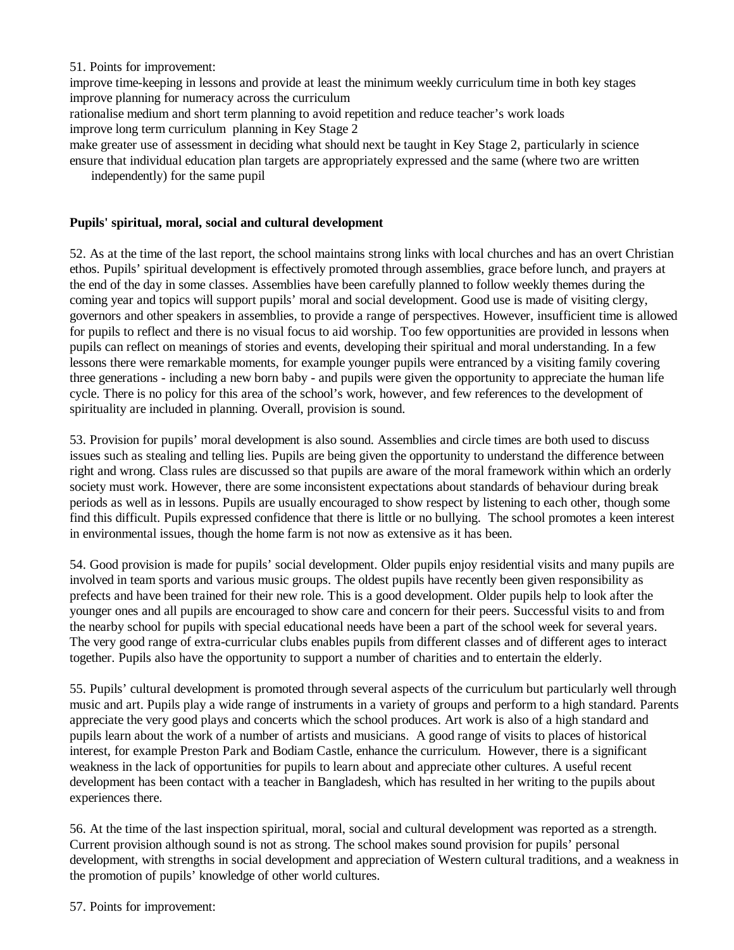#### 51. Points for improvement:

improve time-keeping in lessons and provide at least the minimum weekly curriculum time in both key stages improve planning for numeracy across the curriculum

rationalise medium and short term planning to avoid repetition and reduce teacher's work loads improve long term curriculum planning in Key Stage 2

make greater use of assessment in deciding what should next be taught in Key Stage 2, particularly in science ensure that individual education plan targets are appropriately expressed and the same (where two are written

independently) for the same pupil

#### **Pupils' spiritual, moral, social and cultural development**

52. As at the time of the last report, the school maintains strong links with local churches and has an overt Christian ethos. Pupils' spiritual development is effectively promoted through assemblies, grace before lunch, and prayers at the end of the day in some classes. Assemblies have been carefully planned to follow weekly themes during the coming year and topics will support pupils' moral and social development. Good use is made of visiting clergy, governors and other speakers in assemblies, to provide a range of perspectives. However, insufficient time is allowed for pupils to reflect and there is no visual focus to aid worship. Too few opportunities are provided in lessons when pupils can reflect on meanings of stories and events, developing their spiritual and moral understanding. In a few lessons there were remarkable moments, for example younger pupils were entranced by a visiting family covering three generations - including a new born baby - and pupils were given the opportunity to appreciate the human life cycle. There is no policy for this area of the school's work, however, and few references to the development of spirituality are included in planning. Overall, provision is sound.

53. Provision for pupils' moral development is also sound. Assemblies and circle times are both used to discuss issues such as stealing and telling lies. Pupils are being given the opportunity to understand the difference between right and wrong. Class rules are discussed so that pupils are aware of the moral framework within which an orderly society must work. However, there are some inconsistent expectations about standards of behaviour during break periods as well as in lessons. Pupils are usually encouraged to show respect by listening to each other, though some find this difficult. Pupils expressed confidence that there is little or no bullying. The school promotes a keen interest in environmental issues, though the home farm is not now as extensive as it has been.

54. Good provision is made for pupils' social development. Older pupils enjoy residential visits and many pupils are involved in team sports and various music groups. The oldest pupils have recently been given responsibility as prefects and have been trained for their new role. This is a good development. Older pupils help to look after the younger ones and all pupils are encouraged to show care and concern for their peers. Successful visits to and from the nearby school for pupils with special educational needs have been a part of the school week for several years. The very good range of extra-curricular clubs enables pupils from different classes and of different ages to interact together. Pupils also have the opportunity to support a number of charities and to entertain the elderly.

55. Pupils' cultural development is promoted through several aspects of the curriculum but particularly well through music and art. Pupils play a wide range of instruments in a variety of groups and perform to a high standard. Parents appreciate the very good plays and concerts which the school produces. Art work is also of a high standard and pupils learn about the work of a number of artists and musicians. A good range of visits to places of historical interest, for example Preston Park and Bodiam Castle, enhance the curriculum. However, there is a significant weakness in the lack of opportunities for pupils to learn about and appreciate other cultures. A useful recent development has been contact with a teacher in Bangladesh, which has resulted in her writing to the pupils about experiences there.

56. At the time of the last inspection spiritual, moral, social and cultural development was reported as a strength. Current provision although sound is not as strong. The school makes sound provision for pupils' personal development, with strengths in social development and appreciation of Western cultural traditions, and a weakness in the promotion of pupils' knowledge of other world cultures.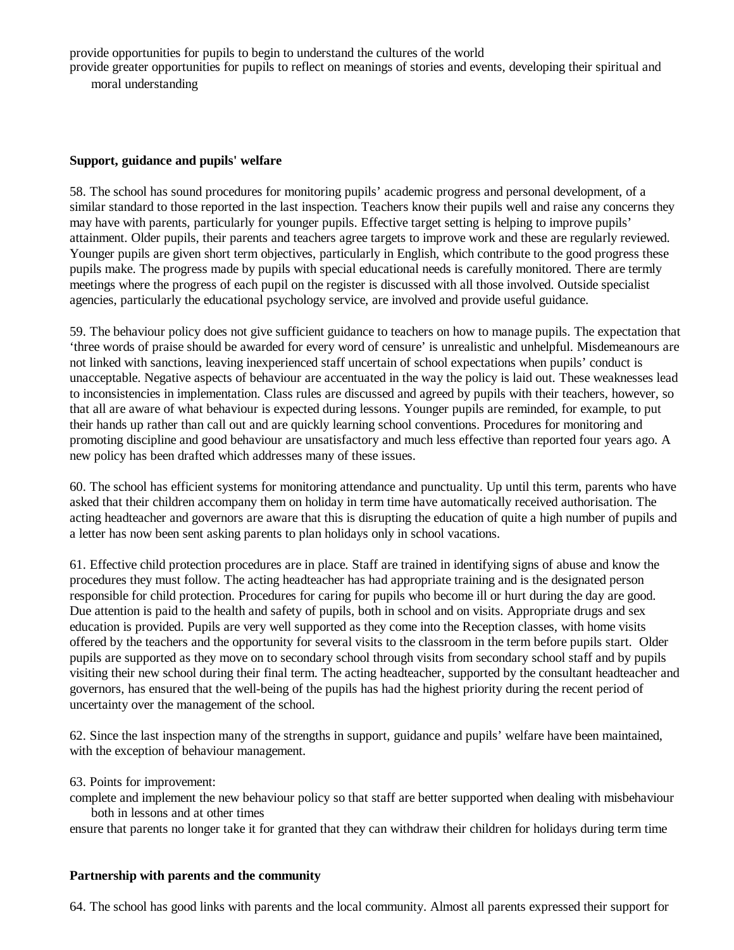provide opportunities for pupils to begin to understand the cultures of the world provide greater opportunities for pupils to reflect on meanings of stories and events, developing their spiritual and moral understanding

#### **Support, guidance and pupils' welfare**

58. The school has sound procedures for monitoring pupils' academic progress and personal development, of a similar standard to those reported in the last inspection. Teachers know their pupils well and raise any concerns they may have with parents, particularly for younger pupils. Effective target setting is helping to improve pupils' attainment. Older pupils, their parents and teachers agree targets to improve work and these are regularly reviewed. Younger pupils are given short term objectives, particularly in English, which contribute to the good progress these pupils make. The progress made by pupils with special educational needs is carefully monitored. There are termly meetings where the progress of each pupil on the register is discussed with all those involved. Outside specialist agencies, particularly the educational psychology service, are involved and provide useful guidance.

59. The behaviour policy does not give sufficient guidance to teachers on how to manage pupils. The expectation that 'three words of praise should be awarded for every word of censure' is unrealistic and unhelpful. Misdemeanours are not linked with sanctions, leaving inexperienced staff uncertain of school expectations when pupils' conduct is unacceptable. Negative aspects of behaviour are accentuated in the way the policy is laid out. These weaknesses lead to inconsistencies in implementation. Class rules are discussed and agreed by pupils with their teachers, however, so that all are aware of what behaviour is expected during lessons. Younger pupils are reminded, for example, to put their hands up rather than call out and are quickly learning school conventions. Procedures for monitoring and promoting discipline and good behaviour are unsatisfactory and much less effective than reported four years ago. A new policy has been drafted which addresses many of these issues.

60. The school has efficient systems for monitoring attendance and punctuality. Up until this term, parents who have asked that their children accompany them on holiday in term time have automatically received authorisation. The acting headteacher and governors are aware that this is disrupting the education of quite a high number of pupils and a letter has now been sent asking parents to plan holidays only in school vacations.

61. Effective child protection procedures are in place. Staff are trained in identifying signs of abuse and know the procedures they must follow. The acting headteacher has had appropriate training and is the designated person responsible for child protection. Procedures for caring for pupils who become ill or hurt during the day are good. Due attention is paid to the health and safety of pupils, both in school and on visits. Appropriate drugs and sex education is provided. Pupils are very well supported as they come into the Reception classes, with home visits offered by the teachers and the opportunity for several visits to the classroom in the term before pupils start. Older pupils are supported as they move on to secondary school through visits from secondary school staff and by pupils visiting their new school during their final term. The acting headteacher, supported by the consultant headteacher and governors, has ensured that the well-being of the pupils has had the highest priority during the recent period of uncertainty over the management of the school.

62. Since the last inspection many of the strengths in support, guidance and pupils' welfare have been maintained, with the exception of behaviour management.

#### 63. Points for improvement:

complete and implement the new behaviour policy so that staff are better supported when dealing with misbehaviour both in lessons and at other times

ensure that parents no longer take it for granted that they can withdraw their children for holidays during term time

#### **Partnership with parents and the community**

64. The school has good links with parents and the local community. Almost all parents expressed their support for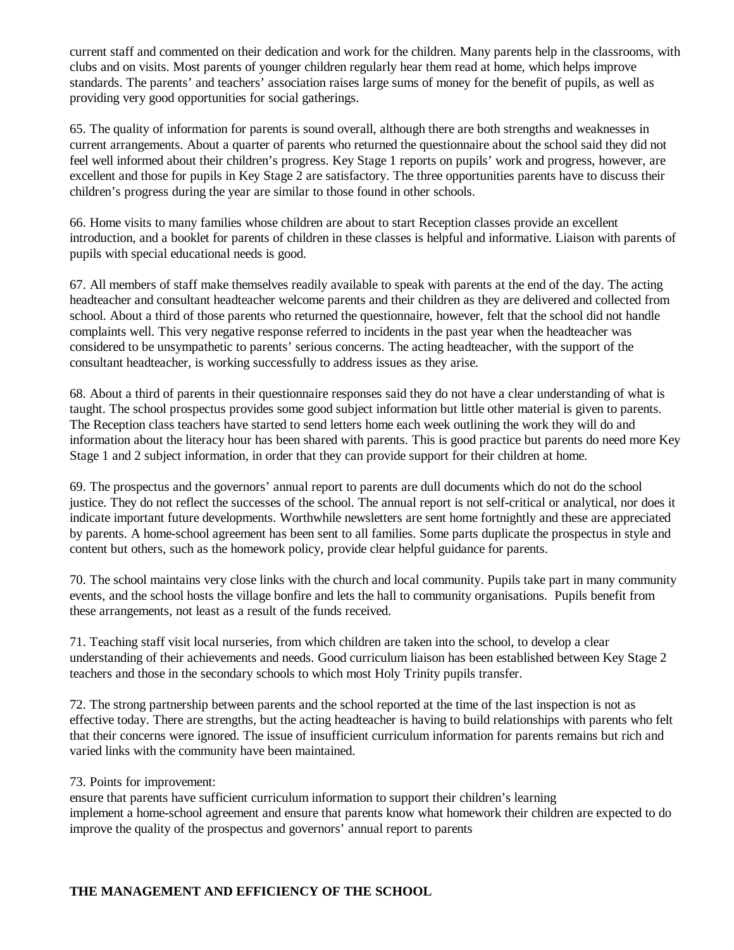current staff and commented on their dedication and work for the children. Many parents help in the classrooms, with clubs and on visits. Most parents of younger children regularly hear them read at home, which helps improve standards. The parents' and teachers' association raises large sums of money for the benefit of pupils, as well as providing very good opportunities for social gatherings.

65. The quality of information for parents is sound overall, although there are both strengths and weaknesses in current arrangements. About a quarter of parents who returned the questionnaire about the school said they did not feel well informed about their children's progress. Key Stage 1 reports on pupils' work and progress, however, are excellent and those for pupils in Key Stage 2 are satisfactory. The three opportunities parents have to discuss their children's progress during the year are similar to those found in other schools.

66. Home visits to many families whose children are about to start Reception classes provide an excellent introduction, and a booklet for parents of children in these classes is helpful and informative. Liaison with parents of pupils with special educational needs is good.

67. All members of staff make themselves readily available to speak with parents at the end of the day. The acting headteacher and consultant headteacher welcome parents and their children as they are delivered and collected from school. About a third of those parents who returned the questionnaire, however, felt that the school did not handle complaints well. This very negative response referred to incidents in the past year when the headteacher was considered to be unsympathetic to parents' serious concerns. The acting headteacher, with the support of the consultant headteacher, is working successfully to address issues as they arise.

68. About a third of parents in their questionnaire responses said they do not have a clear understanding of what is taught. The school prospectus provides some good subject information but little other material is given to parents. The Reception class teachers have started to send letters home each week outlining the work they will do and information about the literacy hour has been shared with parents. This is good practice but parents do need more Key Stage 1 and 2 subject information, in order that they can provide support for their children at home.

69. The prospectus and the governors' annual report to parents are dull documents which do not do the school justice. They do not reflect the successes of the school. The annual report is not self-critical or analytical, nor does it indicate important future developments. Worthwhile newsletters are sent home fortnightly and these are appreciated by parents. A home-school agreement has been sent to all families. Some parts duplicate the prospectus in style and content but others, such as the homework policy, provide clear helpful guidance for parents.

70. The school maintains very close links with the church and local community. Pupils take part in many community events, and the school hosts the village bonfire and lets the hall to community organisations. Pupils benefit from these arrangements, not least as a result of the funds received.

71. Teaching staff visit local nurseries, from which children are taken into the school, to develop a clear understanding of their achievements and needs. Good curriculum liaison has been established between Key Stage 2 teachers and those in the secondary schools to which most Holy Trinity pupils transfer.

72. The strong partnership between parents and the school reported at the time of the last inspection is not as effective today. There are strengths, but the acting headteacher is having to build relationships with parents who felt that their concerns were ignored. The issue of insufficient curriculum information for parents remains but rich and varied links with the community have been maintained.

73. Points for improvement:

ensure that parents have sufficient curriculum information to support their children's learning implement a home-school agreement and ensure that parents know what homework their children are expected to do improve the quality of the prospectus and governors' annual report to parents

## **THE MANAGEMENT AND EFFICIENCY OF THE SCHOOL**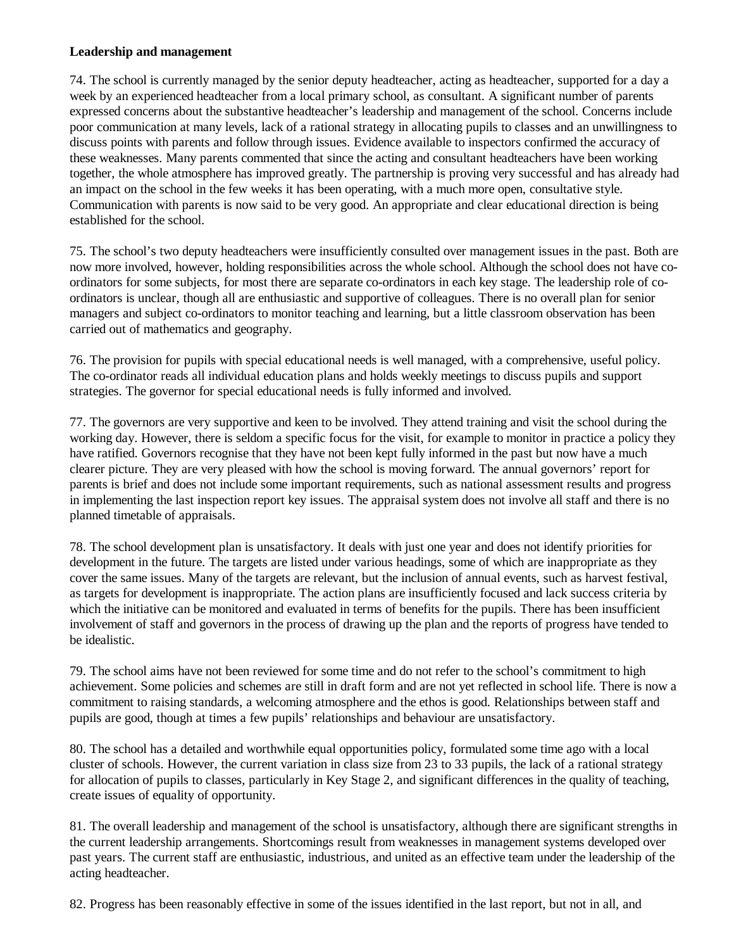#### **Leadership and management**

74. The school is currently managed by the senior deputy headteacher, acting as headteacher, supported for a day a week by an experienced headteacher from a local primary school, as consultant. A significant number of parents expressed concerns about the substantive headteacher's leadership and management of the school. Concerns include poor communication at many levels, lack of a rational strategy in allocating pupils to classes and an unwillingness to discuss points with parents and follow through issues. Evidence available to inspectors confirmed the accuracy of these weaknesses. Many parents commented that since the acting and consultant headteachers have been working together, the whole atmosphere has improved greatly. The partnership is proving very successful and has already had an impact on the school in the few weeks it has been operating, with a much more open, consultative style. Communication with parents is now said to be very good. An appropriate and clear educational direction is being established for the school.

75. The school's two deputy headteachers were insufficiently consulted over management issues in the past. Both are now more involved, however, holding responsibilities across the whole school. Although the school does not have coordinators for some subjects, for most there are separate co-ordinators in each key stage. The leadership role of coordinators is unclear, though all are enthusiastic and supportive of colleagues. There is no overall plan for senior managers and subject co-ordinators to monitor teaching and learning, but a little classroom observation has been carried out of mathematics and geography.

76. The provision for pupils with special educational needs is well managed, with a comprehensive, useful policy. The co-ordinator reads all individual education plans and holds weekly meetings to discuss pupils and support strategies. The governor for special educational needs is fully informed and involved.

77. The governors are very supportive and keen to be involved. They attend training and visit the school during the working day. However, there is seldom a specific focus for the visit, for example to monitor in practice a policy they have ratified. Governors recognise that they have not been kept fully informed in the past but now have a much clearer picture. They are very pleased with how the school is moving forward. The annual governors' report for parents is brief and does not include some important requirements, such as national assessment results and progress in implementing the last inspection report key issues. The appraisal system does not involve all staff and there is no planned timetable of appraisals.

78. The school development plan is unsatisfactory. It deals with just one year and does not identify priorities for development in the future. The targets are listed under various headings, some of which are inappropriate as they cover the same issues. Many of the targets are relevant, but the inclusion of annual events, such as harvest festival, as targets for development is inappropriate. The action plans are insufficiently focused and lack success criteria by which the initiative can be monitored and evaluated in terms of benefits for the pupils. There has been insufficient involvement of staff and governors in the process of drawing up the plan and the reports of progress have tended to be idealistic.

79. The school aims have not been reviewed for some time and do not refer to the school's commitment to high achievement. Some policies and schemes are still in draft form and are not yet reflected in school life. There is now a commitment to raising standards, a welcoming atmosphere and the ethos is good. Relationships between staff and pupils are good, though at times a few pupils' relationships and behaviour are unsatisfactory.

80. The school has a detailed and worthwhile equal opportunities policy, formulated some time ago with a local cluster of schools. However, the current variation in class size from 23 to 33 pupils, the lack of a rational strategy for allocation of pupils to classes, particularly in Key Stage 2, and significant differences in the quality of teaching, create issues of equality of opportunity.

81. The overall leadership and management of the school is unsatisfactory, although there are significant strengths in the current leadership arrangements. Shortcomings result from weaknesses in management systems developed over past years. The current staff are enthusiastic, industrious, and united as an effective team under the leadership of the acting headteacher.

82. Progress has been reasonably effective in some of the issues identified in the last report, but not in all, and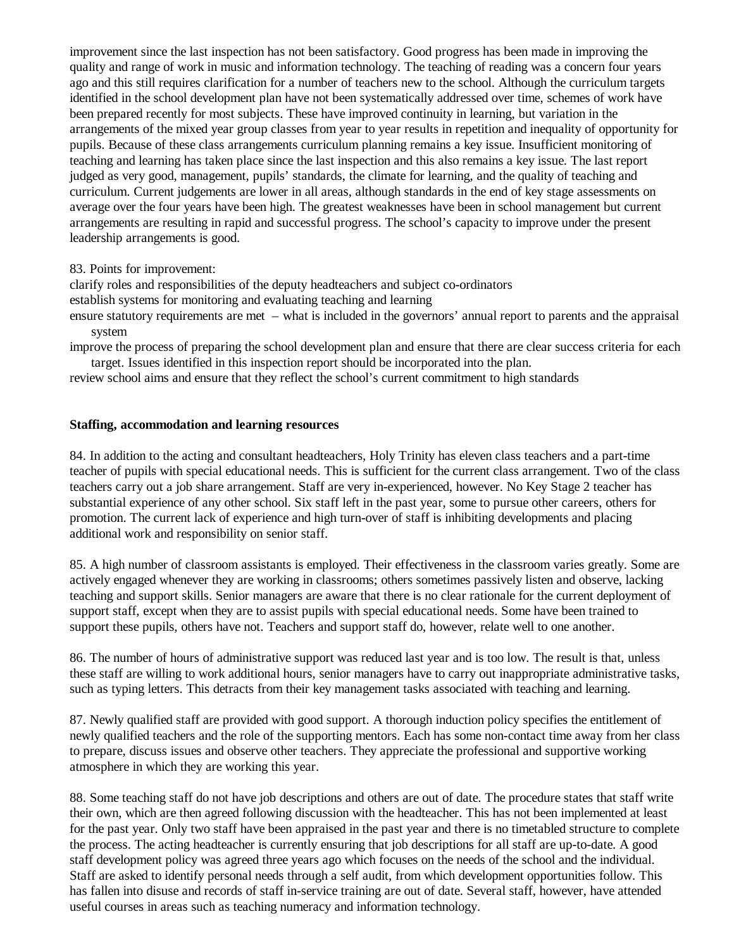improvement since the last inspection has not been satisfactory. Good progress has been made in improving the quality and range of work in music and information technology. The teaching of reading was a concern four years ago and this still requires clarification for a number of teachers new to the school. Although the curriculum targets identified in the school development plan have not been systematically addressed over time, schemes of work have been prepared recently for most subjects. These have improved continuity in learning, but variation in the arrangements of the mixed year group classes from year to year results in repetition and inequality of opportunity for pupils. Because of these class arrangements curriculum planning remains a key issue. Insufficient monitoring of teaching and learning has taken place since the last inspection and this also remains a key issue. The last report judged as very good, management, pupils' standards, the climate for learning, and the quality of teaching and curriculum. Current judgements are lower in all areas, although standards in the end of key stage assessments on average over the four years have been high. The greatest weaknesses have been in school management but current arrangements are resulting in rapid and successful progress. The school's capacity to improve under the present leadership arrangements is good.

#### 83. Points for improvement:

clarify roles and responsibilities of the deputy headteachers and subject co-ordinators

establish systems for monitoring and evaluating teaching and learning

ensure statutory requirements are met – what is included in the governors' annual report to parents and the appraisal system

improve the process of preparing the school development plan and ensure that there are clear success criteria for each target. Issues identified in this inspection report should be incorporated into the plan.

review school aims and ensure that they reflect the school's current commitment to high standards

#### **Staffing, accommodation and learning resources**

84. In addition to the acting and consultant headteachers, Holy Trinity has eleven class teachers and a part-time teacher of pupils with special educational needs. This is sufficient for the current class arrangement. Two of the class teachers carry out a job share arrangement. Staff are very in-experienced, however. No Key Stage 2 teacher has substantial experience of any other school. Six staff left in the past year, some to pursue other careers, others for promotion. The current lack of experience and high turn-over of staff is inhibiting developments and placing additional work and responsibility on senior staff.

85. A high number of classroom assistants is employed. Their effectiveness in the classroom varies greatly. Some are actively engaged whenever they are working in classrooms; others sometimes passively listen and observe, lacking teaching and support skills. Senior managers are aware that there is no clear rationale for the current deployment of support staff, except when they are to assist pupils with special educational needs. Some have been trained to support these pupils, others have not. Teachers and support staff do, however, relate well to one another.

86. The number of hours of administrative support was reduced last year and is too low. The result is that, unless these staff are willing to work additional hours, senior managers have to carry out inappropriate administrative tasks, such as typing letters. This detracts from their key management tasks associated with teaching and learning.

87. Newly qualified staff are provided with good support. A thorough induction policy specifies the entitlement of newly qualified teachers and the role of the supporting mentors. Each has some non-contact time away from her class to prepare, discuss issues and observe other teachers. They appreciate the professional and supportive working atmosphere in which they are working this year.

88. Some teaching staff do not have job descriptions and others are out of date. The procedure states that staff write their own, which are then agreed following discussion with the headteacher. This has not been implemented at least for the past year. Only two staff have been appraised in the past year and there is no timetabled structure to complete the process. The acting headteacher is currently ensuring that job descriptions for all staff are up-to-date. A good staff development policy was agreed three years ago which focuses on the needs of the school and the individual. Staff are asked to identify personal needs through a self audit, from which development opportunities follow. This has fallen into disuse and records of staff in-service training are out of date. Several staff, however, have attended useful courses in areas such as teaching numeracy and information technology.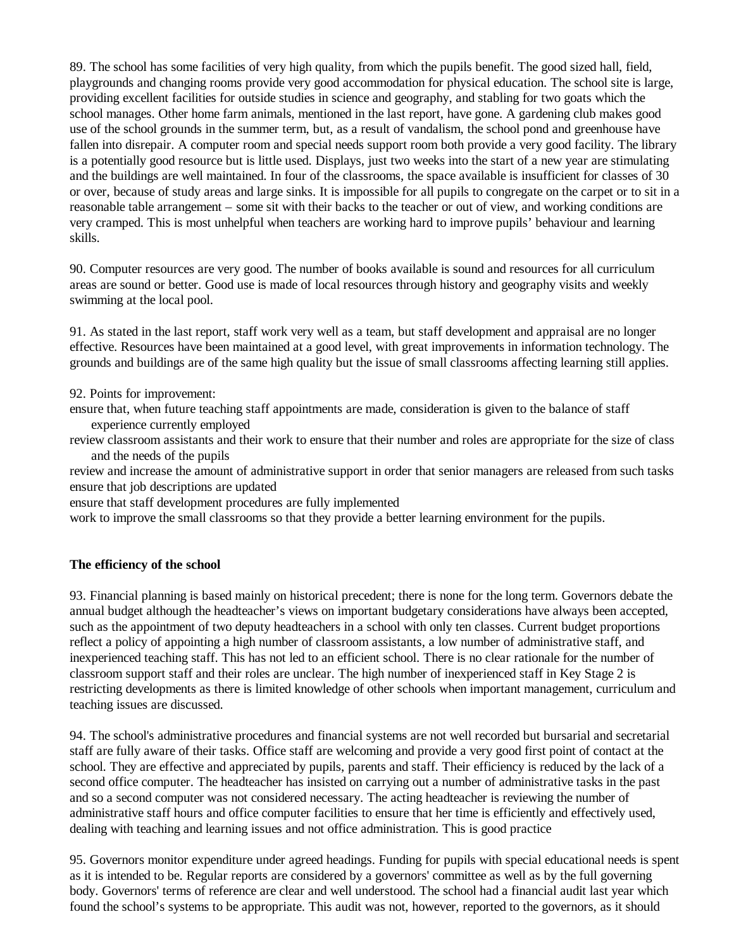89. The school has some facilities of very high quality, from which the pupils benefit. The good sized hall, field, playgrounds and changing rooms provide very good accommodation for physical education. The school site is large, providing excellent facilities for outside studies in science and geography, and stabling for two goats which the school manages. Other home farm animals, mentioned in the last report, have gone. A gardening club makes good use of the school grounds in the summer term, but, as a result of vandalism, the school pond and greenhouse have fallen into disrepair. A computer room and special needs support room both provide a very good facility. The library is a potentially good resource but is little used. Displays, just two weeks into the start of a new year are stimulating and the buildings are well maintained. In four of the classrooms, the space available is insufficient for classes of 30 or over, because of study areas and large sinks. It is impossible for all pupils to congregate on the carpet or to sit in a reasonable table arrangement – some sit with their backs to the teacher or out of view, and working conditions are very cramped. This is most unhelpful when teachers are working hard to improve pupils' behaviour and learning skills.

90. Computer resources are very good. The number of books available is sound and resources for all curriculum areas are sound or better. Good use is made of local resources through history and geography visits and weekly swimming at the local pool.

91. As stated in the last report, staff work very well as a team, but staff development and appraisal are no longer effective. Resources have been maintained at a good level, with great improvements in information technology. The grounds and buildings are of the same high quality but the issue of small classrooms affecting learning still applies.

92. Points for improvement:

ensure that, when future teaching staff appointments are made, consideration is given to the balance of staff experience currently employed

review classroom assistants and their work to ensure that their number and roles are appropriate for the size of class and the needs of the pupils

review and increase the amount of administrative support in order that senior managers are released from such tasks ensure that job descriptions are updated

ensure that staff development procedures are fully implemented

work to improve the small classrooms so that they provide a better learning environment for the pupils.

#### **The efficiency of the school**

93. Financial planning is based mainly on historical precedent; there is none for the long term. Governors debate the annual budget although the headteacher's views on important budgetary considerations have always been accepted, such as the appointment of two deputy headteachers in a school with only ten classes. Current budget proportions reflect a policy of appointing a high number of classroom assistants, a low number of administrative staff, and inexperienced teaching staff. This has not led to an efficient school. There is no clear rationale for the number of classroom support staff and their roles are unclear. The high number of inexperienced staff in Key Stage 2 is restricting developments as there is limited knowledge of other schools when important management, curriculum and teaching issues are discussed.

94. The school's administrative procedures and financial systems are not well recorded but bursarial and secretarial staff are fully aware of their tasks. Office staff are welcoming and provide a very good first point of contact at the school. They are effective and appreciated by pupils, parents and staff. Their efficiency is reduced by the lack of a second office computer. The headteacher has insisted on carrying out a number of administrative tasks in the past and so a second computer was not considered necessary. The acting headteacher is reviewing the number of administrative staff hours and office computer facilities to ensure that her time is efficiently and effectively used, dealing with teaching and learning issues and not office administration. This is good practice

95. Governors monitor expenditure under agreed headings. Funding for pupils with special educational needs is spent as it is intended to be. Regular reports are considered by a governors' committee as well as by the full governing body. Governors' terms of reference are clear and well understood. The school had a financial audit last year which found the school's systems to be appropriate. This audit was not, however, reported to the governors, as it should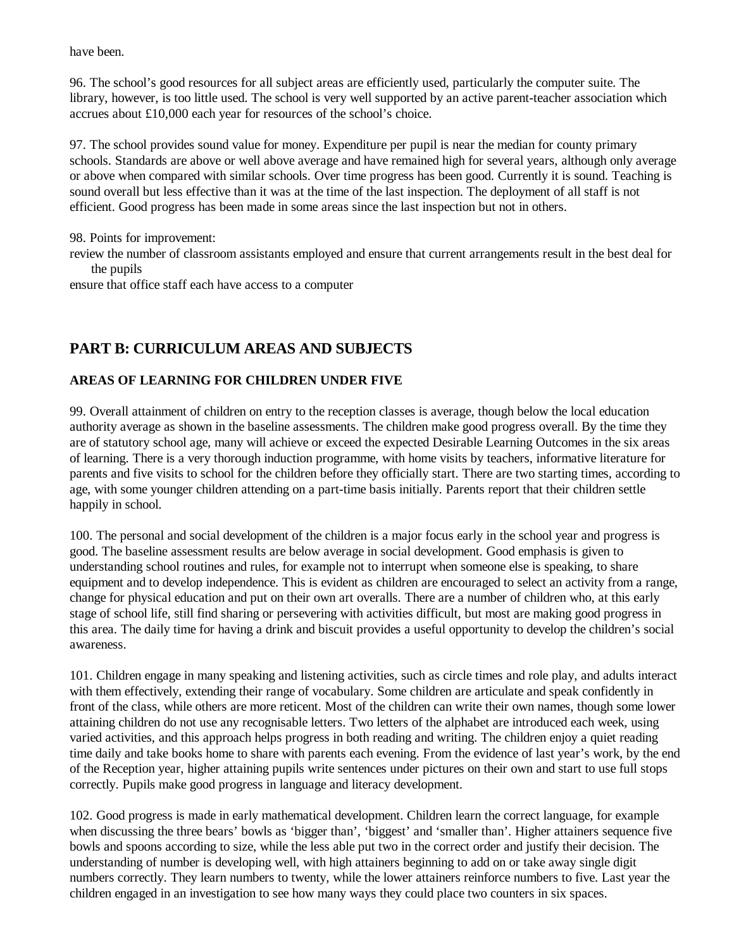have been.

96. The school's good resources for all subject areas are efficiently used, particularly the computer suite. The library, however, is too little used. The school is very well supported by an active parent-teacher association which accrues about £10,000 each year for resources of the school's choice.

97. The school provides sound value for money. Expenditure per pupil is near the median for county primary schools. Standards are above or well above average and have remained high for several years, although only average or above when compared with similar schools. Over time progress has been good. Currently it is sound. Teaching is sound overall but less effective than it was at the time of the last inspection. The deployment of all staff is not efficient. Good progress has been made in some areas since the last inspection but not in others.

98. Points for improvement:

review the number of classroom assistants employed and ensure that current arrangements result in the best deal for the pupils

ensure that office staff each have access to a computer

## **PART B: CURRICULUM AREAS AND SUBJECTS**

## **AREAS OF LEARNING FOR CHILDREN UNDER FIVE**

99. Overall attainment of children on entry to the reception classes is average, though below the local education authority average as shown in the baseline assessments. The children make good progress overall. By the time they are of statutory school age, many will achieve or exceed the expected Desirable Learning Outcomes in the six areas of learning. There is a very thorough induction programme, with home visits by teachers, informative literature for parents and five visits to school for the children before they officially start. There are two starting times, according to age, with some younger children attending on a part-time basis initially. Parents report that their children settle happily in school.

100. The personal and social development of the children is a major focus early in the school year and progress is good. The baseline assessment results are below average in social development. Good emphasis is given to understanding school routines and rules, for example not to interrupt when someone else is speaking, to share equipment and to develop independence. This is evident as children are encouraged to select an activity from a range, change for physical education and put on their own art overalls. There are a number of children who, at this early stage of school life, still find sharing or persevering with activities difficult, but most are making good progress in this area. The daily time for having a drink and biscuit provides a useful opportunity to develop the children's social awareness.

101. Children engage in many speaking and listening activities, such as circle times and role play, and adults interact with them effectively, extending their range of vocabulary. Some children are articulate and speak confidently in front of the class, while others are more reticent. Most of the children can write their own names, though some lower attaining children do not use any recognisable letters. Two letters of the alphabet are introduced each week, using varied activities, and this approach helps progress in both reading and writing. The children enjoy a quiet reading time daily and take books home to share with parents each evening. From the evidence of last year's work, by the end of the Reception year, higher attaining pupils write sentences under pictures on their own and start to use full stops correctly. Pupils make good progress in language and literacy development.

102. Good progress is made in early mathematical development. Children learn the correct language, for example when discussing the three bears' bowls as 'bigger than', 'biggest' and 'smaller than'. Higher attainers sequence five bowls and spoons according to size, while the less able put two in the correct order and justify their decision. The understanding of number is developing well, with high attainers beginning to add on or take away single digit numbers correctly. They learn numbers to twenty, while the lower attainers reinforce numbers to five. Last year the children engaged in an investigation to see how many ways they could place two counters in six spaces.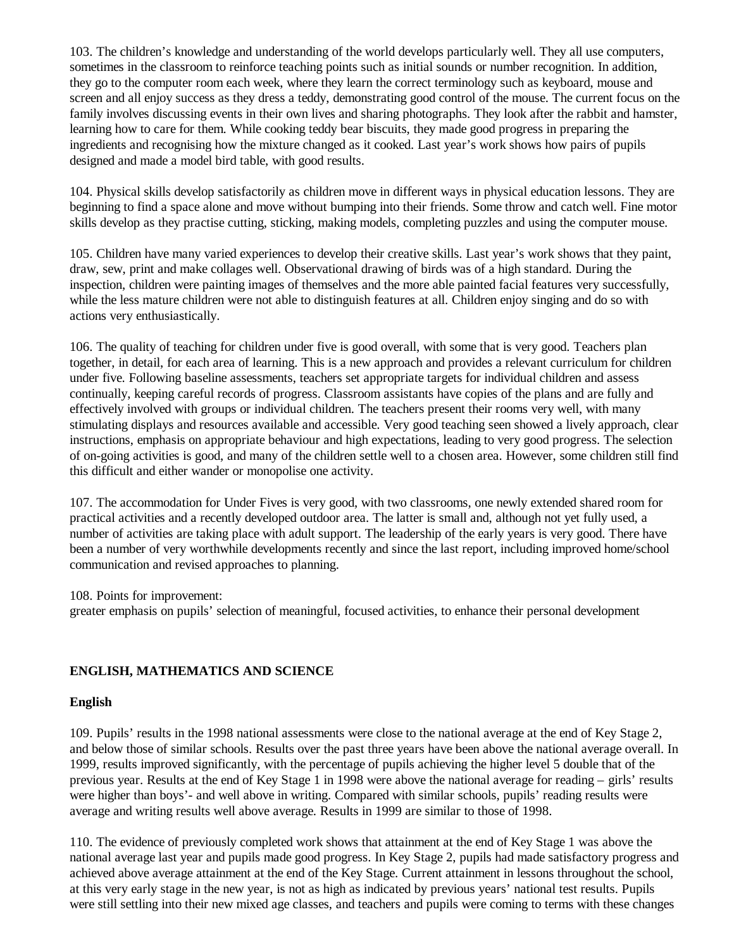103. The children's knowledge and understanding of the world develops particularly well. They all use computers, sometimes in the classroom to reinforce teaching points such as initial sounds or number recognition. In addition, they go to the computer room each week, where they learn the correct terminology such as keyboard, mouse and screen and all enjoy success as they dress a teddy, demonstrating good control of the mouse. The current focus on the family involves discussing events in their own lives and sharing photographs. They look after the rabbit and hamster, learning how to care for them. While cooking teddy bear biscuits, they made good progress in preparing the ingredients and recognising how the mixture changed as it cooked. Last year's work shows how pairs of pupils designed and made a model bird table, with good results.

104. Physical skills develop satisfactorily as children move in different ways in physical education lessons. They are beginning to find a space alone and move without bumping into their friends. Some throw and catch well. Fine motor skills develop as they practise cutting, sticking, making models, completing puzzles and using the computer mouse.

105. Children have many varied experiences to develop their creative skills. Last year's work shows that they paint, draw, sew, print and make collages well. Observational drawing of birds was of a high standard. During the inspection, children were painting images of themselves and the more able painted facial features very successfully, while the less mature children were not able to distinguish features at all. Children enjoy singing and do so with actions very enthusiastically.

106. The quality of teaching for children under five is good overall, with some that is very good. Teachers plan together, in detail, for each area of learning. This is a new approach and provides a relevant curriculum for children under five. Following baseline assessments, teachers set appropriate targets for individual children and assess continually, keeping careful records of progress. Classroom assistants have copies of the plans and are fully and effectively involved with groups or individual children. The teachers present their rooms very well, with many stimulating displays and resources available and accessible. Very good teaching seen showed a lively approach, clear instructions, emphasis on appropriate behaviour and high expectations, leading to very good progress. The selection of on-going activities is good, and many of the children settle well to a chosen area. However, some children still find this difficult and either wander or monopolise one activity.

107. The accommodation for Under Fives is very good, with two classrooms, one newly extended shared room for practical activities and a recently developed outdoor area. The latter is small and, although not yet fully used, a number of activities are taking place with adult support. The leadership of the early years is very good. There have been a number of very worthwhile developments recently and since the last report, including improved home/school communication and revised approaches to planning.

108. Points for improvement:

greater emphasis on pupils' selection of meaningful, focused activities, to enhance their personal development

## **ENGLISH, MATHEMATICS AND SCIENCE**

#### **English**

109. Pupils' results in the 1998 national assessments were close to the national average at the end of Key Stage 2, and below those of similar schools. Results over the past three years have been above the national average overall. In 1999, results improved significantly, with the percentage of pupils achieving the higher level 5 double that of the previous year. Results at the end of Key Stage 1 in 1998 were above the national average for reading – girls' results were higher than boys'- and well above in writing. Compared with similar schools, pupils' reading results were average and writing results well above average. Results in 1999 are similar to those of 1998.

110. The evidence of previously completed work shows that attainment at the end of Key Stage 1 was above the national average last year and pupils made good progress. In Key Stage 2, pupils had made satisfactory progress and achieved above average attainment at the end of the Key Stage. Current attainment in lessons throughout the school, at this very early stage in the new year, is not as high as indicated by previous years' national test results. Pupils were still settling into their new mixed age classes, and teachers and pupils were coming to terms with these changes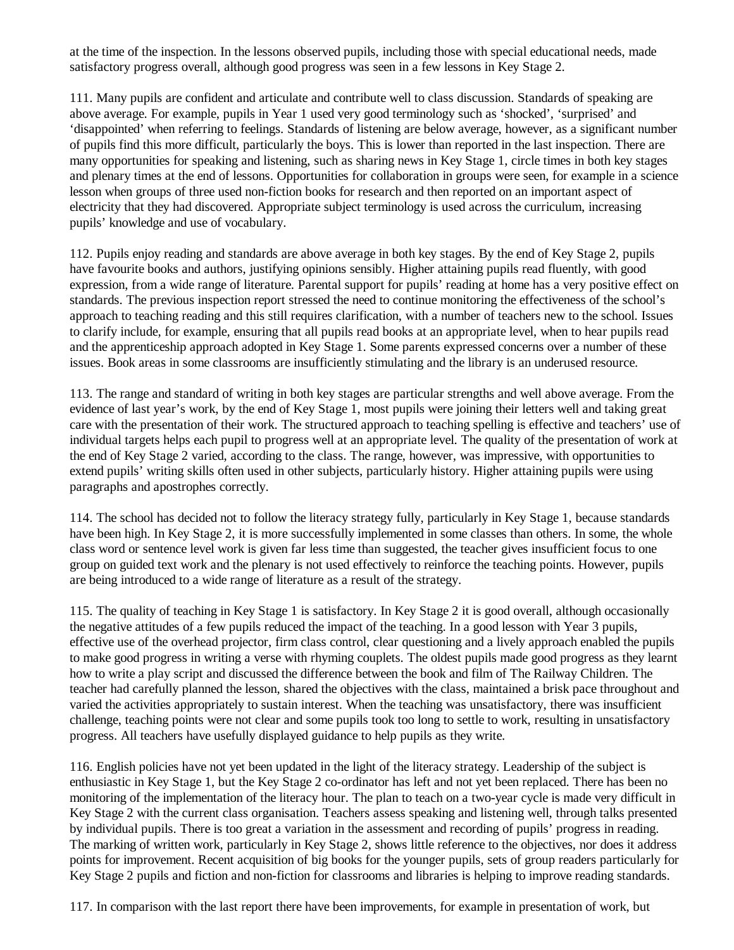at the time of the inspection. In the lessons observed pupils, including those with special educational needs, made satisfactory progress overall, although good progress was seen in a few lessons in Key Stage 2.

111. Many pupils are confident and articulate and contribute well to class discussion. Standards of speaking are above average. For example, pupils in Year 1 used very good terminology such as 'shocked', 'surprised' and 'disappointed' when referring to feelings. Standards of listening are below average, however, as a significant number of pupils find this more difficult, particularly the boys. This is lower than reported in the last inspection. There are many opportunities for speaking and listening, such as sharing news in Key Stage 1, circle times in both key stages and plenary times at the end of lessons. Opportunities for collaboration in groups were seen, for example in a science lesson when groups of three used non-fiction books for research and then reported on an important aspect of electricity that they had discovered. Appropriate subject terminology is used across the curriculum, increasing pupils' knowledge and use of vocabulary.

112. Pupils enjoy reading and standards are above average in both key stages. By the end of Key Stage 2, pupils have favourite books and authors, justifying opinions sensibly. Higher attaining pupils read fluently, with good expression, from a wide range of literature. Parental support for pupils' reading at home has a very positive effect on standards. The previous inspection report stressed the need to continue monitoring the effectiveness of the school's approach to teaching reading and this still requires clarification, with a number of teachers new to the school. Issues to clarify include, for example, ensuring that all pupils read books at an appropriate level, when to hear pupils read and the apprenticeship approach adopted in Key Stage 1. Some parents expressed concerns over a number of these issues. Book areas in some classrooms are insufficiently stimulating and the library is an underused resource.

113. The range and standard of writing in both key stages are particular strengths and well above average. From the evidence of last year's work, by the end of Key Stage 1, most pupils were joining their letters well and taking great care with the presentation of their work. The structured approach to teaching spelling is effective and teachers' use of individual targets helps each pupil to progress well at an appropriate level. The quality of the presentation of work at the end of Key Stage 2 varied, according to the class. The range, however, was impressive, with opportunities to extend pupils' writing skills often used in other subjects, particularly history. Higher attaining pupils were using paragraphs and apostrophes correctly.

114. The school has decided not to follow the literacy strategy fully, particularly in Key Stage 1, because standards have been high. In Key Stage 2, it is more successfully implemented in some classes than others. In some, the whole class word or sentence level work is given far less time than suggested, the teacher gives insufficient focus to one group on guided text work and the plenary is not used effectively to reinforce the teaching points. However, pupils are being introduced to a wide range of literature as a result of the strategy.

115. The quality of teaching in Key Stage 1 is satisfactory. In Key Stage 2 it is good overall, although occasionally the negative attitudes of a few pupils reduced the impact of the teaching. In a good lesson with Year 3 pupils, effective use of the overhead projector, firm class control, clear questioning and a lively approach enabled the pupils to make good progress in writing a verse with rhyming couplets. The oldest pupils made good progress as they learnt how to write a play script and discussed the difference between the book and film of The Railway Children. The teacher had carefully planned the lesson, shared the objectives with the class, maintained a brisk pace throughout and varied the activities appropriately to sustain interest. When the teaching was unsatisfactory, there was insufficient challenge, teaching points were not clear and some pupils took too long to settle to work, resulting in unsatisfactory progress. All teachers have usefully displayed guidance to help pupils as they write.

116. English policies have not yet been updated in the light of the literacy strategy. Leadership of the subject is enthusiastic in Key Stage 1, but the Key Stage 2 co-ordinator has left and not yet been replaced. There has been no monitoring of the implementation of the literacy hour. The plan to teach on a two-year cycle is made very difficult in Key Stage 2 with the current class organisation. Teachers assess speaking and listening well, through talks presented by individual pupils. There is too great a variation in the assessment and recording of pupils' progress in reading. The marking of written work, particularly in Key Stage 2, shows little reference to the objectives, nor does it address points for improvement. Recent acquisition of big books for the younger pupils, sets of group readers particularly for Key Stage 2 pupils and fiction and non-fiction for classrooms and libraries is helping to improve reading standards.

117. In comparison with the last report there have been improvements, for example in presentation of work, but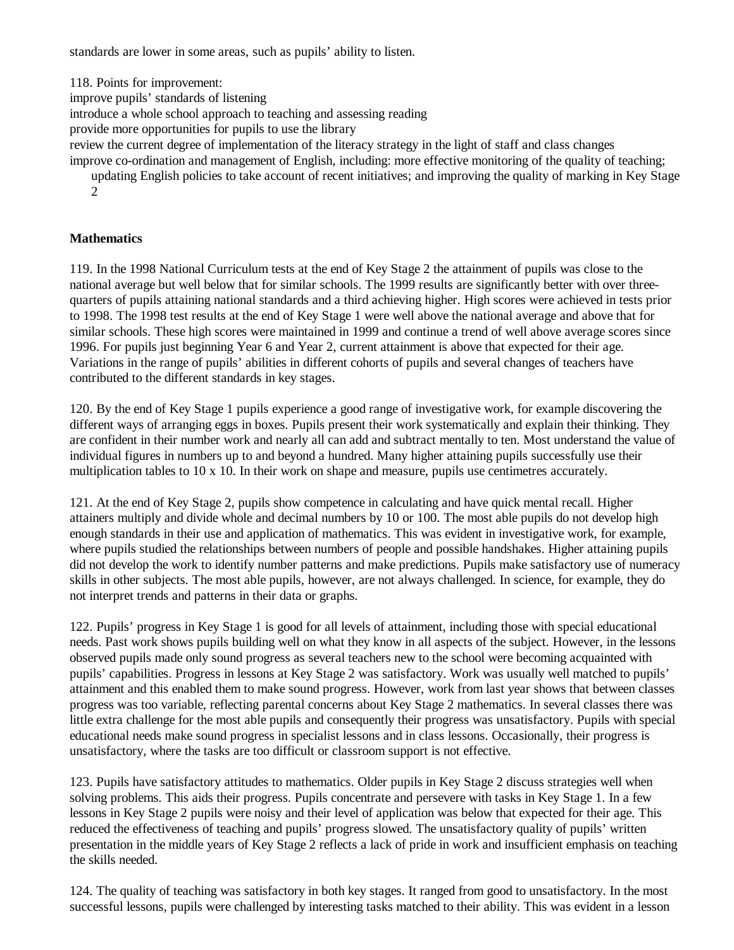standards are lower in some areas, such as pupils' ability to listen.

118. Points for improvement:

improve pupils' standards of listening

introduce a whole school approach to teaching and assessing reading

provide more opportunities for pupils to use the library

review the current degree of implementation of the literacy strategy in the light of staff and class changes

improve co-ordination and management of English, including: more effective monitoring of the quality of teaching;

updating English policies to take account of recent initiatives; and improving the quality of marking in Key Stage 2

## **Mathematics**

119. In the 1998 National Curriculum tests at the end of Key Stage 2 the attainment of pupils was close to the national average but well below that for similar schools. The 1999 results are significantly better with over threequarters of pupils attaining national standards and a third achieving higher. High scores were achieved in tests prior to 1998. The 1998 test results at the end of Key Stage 1 were well above the national average and above that for similar schools. These high scores were maintained in 1999 and continue a trend of well above average scores since 1996. For pupils just beginning Year 6 and Year 2, current attainment is above that expected for their age. Variations in the range of pupils' abilities in different cohorts of pupils and several changes of teachers have contributed to the different standards in key stages.

120. By the end of Key Stage 1 pupils experience a good range of investigative work, for example discovering the different ways of arranging eggs in boxes. Pupils present their work systematically and explain their thinking. They are confident in their number work and nearly all can add and subtract mentally to ten. Most understand the value of individual figures in numbers up to and beyond a hundred. Many higher attaining pupils successfully use their multiplication tables to 10 x 10. In their work on shape and measure, pupils use centimetres accurately.

121. At the end of Key Stage 2, pupils show competence in calculating and have quick mental recall. Higher attainers multiply and divide whole and decimal numbers by 10 or 100. The most able pupils do not develop high enough standards in their use and application of mathematics. This was evident in investigative work, for example, where pupils studied the relationships between numbers of people and possible handshakes. Higher attaining pupils did not develop the work to identify number patterns and make predictions. Pupils make satisfactory use of numeracy skills in other subjects. The most able pupils, however, are not always challenged. In science, for example, they do not interpret trends and patterns in their data or graphs.

122. Pupils' progress in Key Stage 1 is good for all levels of attainment, including those with special educational needs. Past work shows pupils building well on what they know in all aspects of the subject. However, in the lessons observed pupils made only sound progress as several teachers new to the school were becoming acquainted with pupils' capabilities. Progress in lessons at Key Stage 2 was satisfactory. Work was usually well matched to pupils' attainment and this enabled them to make sound progress. However, work from last year shows that between classes progress was too variable, reflecting parental concerns about Key Stage 2 mathematics. In several classes there was little extra challenge for the most able pupils and consequently their progress was unsatisfactory. Pupils with special educational needs make sound progress in specialist lessons and in class lessons. Occasionally, their progress is unsatisfactory, where the tasks are too difficult or classroom support is not effective.

123. Pupils have satisfactory attitudes to mathematics. Older pupils in Key Stage 2 discuss strategies well when solving problems. This aids their progress. Pupils concentrate and persevere with tasks in Key Stage 1. In a few lessons in Key Stage 2 pupils were noisy and their level of application was below that expected for their age. This reduced the effectiveness of teaching and pupils' progress slowed. The unsatisfactory quality of pupils' written presentation in the middle years of Key Stage 2 reflects a lack of pride in work and insufficient emphasis on teaching the skills needed.

124. The quality of teaching was satisfactory in both key stages. It ranged from good to unsatisfactory. In the most successful lessons, pupils were challenged by interesting tasks matched to their ability. This was evident in a lesson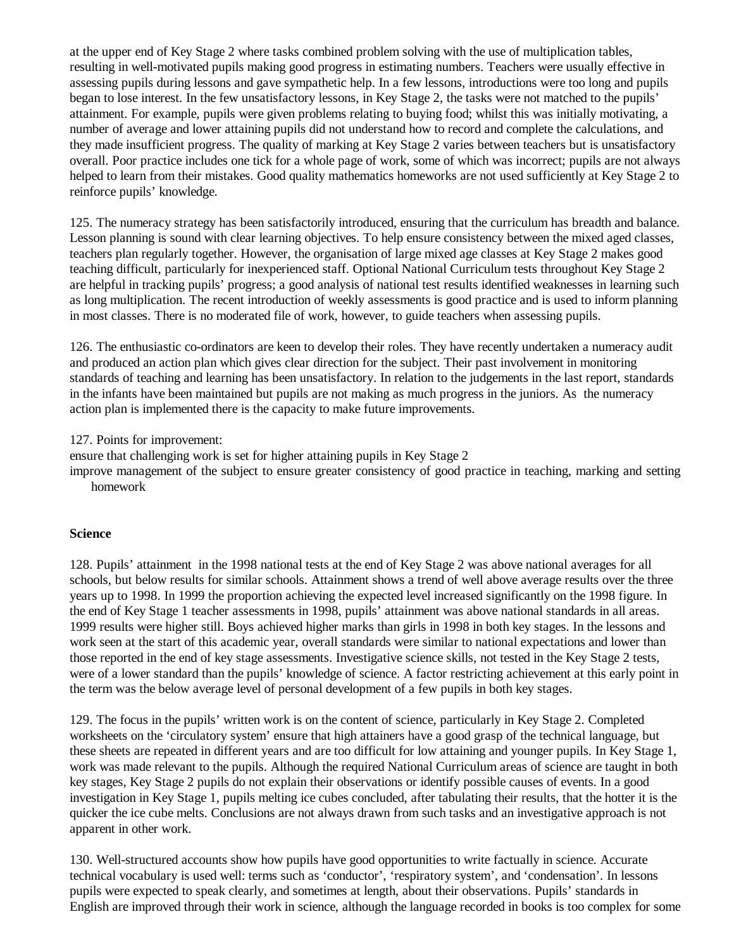at the upper end of Key Stage 2 where tasks combined problem solving with the use of multiplication tables, resulting in well-motivated pupils making good progress in estimating numbers. Teachers were usually effective in assessing pupils during lessons and gave sympathetic help. In a few lessons, introductions were too long and pupils began to lose interest. In the few unsatisfactory lessons, in Key Stage 2, the tasks were not matched to the pupils' attainment. For example, pupils were given problems relating to buying food; whilst this was initially motivating, a number of average and lower attaining pupils did not understand how to record and complete the calculations, and they made insufficient progress. The quality of marking at Key Stage 2 varies between teachers but is unsatisfactory overall. Poor practice includes one tick for a whole page of work, some of which was incorrect; pupils are not always helped to learn from their mistakes. Good quality mathematics homeworks are not used sufficiently at Key Stage 2 to reinforce pupils' knowledge.

125. The numeracy strategy has been satisfactorily introduced, ensuring that the curriculum has breadth and balance. Lesson planning is sound with clear learning objectives. To help ensure consistency between the mixed aged classes, teachers plan regularly together. However, the organisation of large mixed age classes at Key Stage 2 makes good teaching difficult, particularly for inexperienced staff. Optional National Curriculum tests throughout Key Stage 2 are helpful in tracking pupils' progress; a good analysis of national test results identified weaknesses in learning such as long multiplication. The recent introduction of weekly assessments is good practice and is used to inform planning in most classes. There is no moderated file of work, however, to guide teachers when assessing pupils.

126. The enthusiastic co-ordinators are keen to develop their roles. They have recently undertaken a numeracy audit and produced an action plan which gives clear direction for the subject. Their past involvement in monitoring standards of teaching and learning has been unsatisfactory. In relation to the judgements in the last report, standards in the infants have been maintained but pupils are not making as much progress in the juniors. As the numeracy action plan is implemented there is the capacity to make future improvements.

127. Points for improvement:

ensure that challenging work is set for higher attaining pupils in Key Stage 2

improve management of the subject to ensure greater consistency of good practice in teaching, marking and setting homework

## **Science**

128. Pupils' attainment in the 1998 national tests at the end of Key Stage 2 was above national averages for all schools, but below results for similar schools. Attainment shows a trend of well above average results over the three years up to 1998. In 1999 the proportion achieving the expected level increased significantly on the 1998 figure. In the end of Key Stage 1 teacher assessments in 1998, pupils' attainment was above national standards in all areas. 1999 results were higher still. Boys achieved higher marks than girls in 1998 in both key stages. In the lessons and work seen at the start of this academic year, overall standards were similar to national expectations and lower than those reported in the end of key stage assessments. Investigative science skills, not tested in the Key Stage 2 tests, were of a lower standard than the pupils' knowledge of science. A factor restricting achievement at this early point in the term was the below average level of personal development of a few pupils in both key stages.

129. The focus in the pupils' written work is on the content of science, particularly in Key Stage 2. Completed worksheets on the 'circulatory system' ensure that high attainers have a good grasp of the technical language, but these sheets are repeated in different years and are too difficult for low attaining and younger pupils. In Key Stage 1, work was made relevant to the pupils. Although the required National Curriculum areas of science are taught in both key stages, Key Stage 2 pupils do not explain their observations or identify possible causes of events. In a good investigation in Key Stage 1, pupils melting ice cubes concluded, after tabulating their results, that the hotter it is the quicker the ice cube melts. Conclusions are not always drawn from such tasks and an investigative approach is not apparent in other work.

130. Well-structured accounts show how pupils have good opportunities to write factually in science. Accurate technical vocabulary is used well: terms such as 'conductor', 'respiratory system', and 'condensation'. In lessons pupils were expected to speak clearly, and sometimes at length, about their observations. Pupils' standards in English are improved through their work in science, although the language recorded in books is too complex for some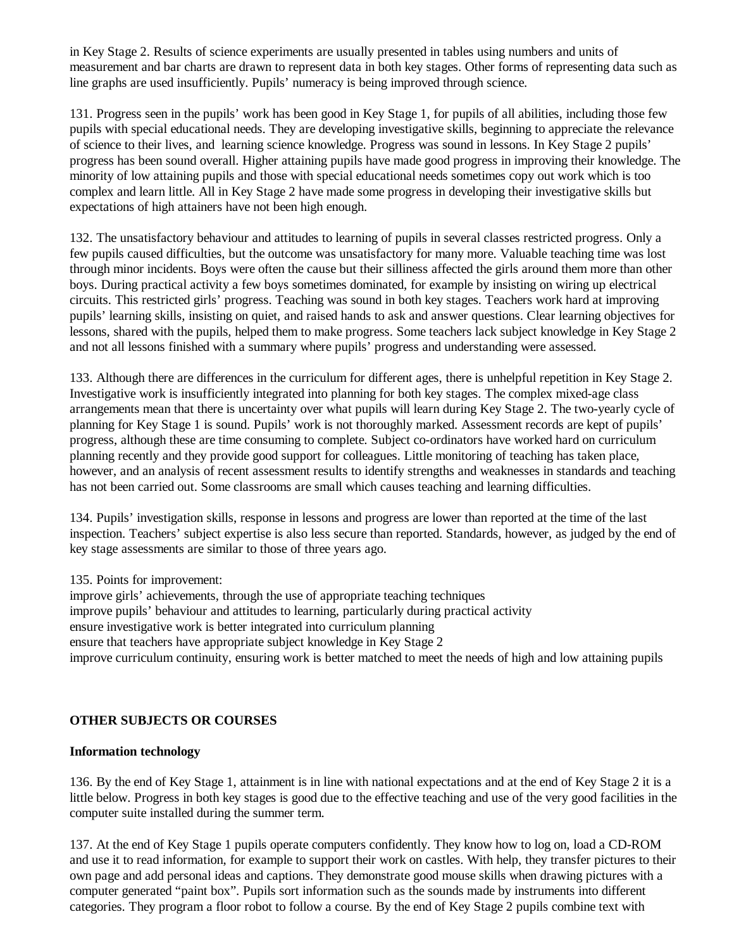in Key Stage 2. Results of science experiments are usually presented in tables using numbers and units of measurement and bar charts are drawn to represent data in both key stages. Other forms of representing data such as line graphs are used insufficiently. Pupils' numeracy is being improved through science.

131. Progress seen in the pupils' work has been good in Key Stage 1, for pupils of all abilities, including those few pupils with special educational needs. They are developing investigative skills, beginning to appreciate the relevance of science to their lives, and learning science knowledge. Progress was sound in lessons. In Key Stage 2 pupils' progress has been sound overall. Higher attaining pupils have made good progress in improving their knowledge. The minority of low attaining pupils and those with special educational needs sometimes copy out work which is too complex and learn little. All in Key Stage 2 have made some progress in developing their investigative skills but expectations of high attainers have not been high enough.

132. The unsatisfactory behaviour and attitudes to learning of pupils in several classes restricted progress. Only a few pupils caused difficulties, but the outcome was unsatisfactory for many more. Valuable teaching time was lost through minor incidents. Boys were often the cause but their silliness affected the girls around them more than other boys. During practical activity a few boys sometimes dominated, for example by insisting on wiring up electrical circuits. This restricted girls' progress. Teaching was sound in both key stages. Teachers work hard at improving pupils' learning skills, insisting on quiet, and raised hands to ask and answer questions. Clear learning objectives for lessons, shared with the pupils, helped them to make progress. Some teachers lack subject knowledge in Key Stage 2 and not all lessons finished with a summary where pupils' progress and understanding were assessed.

133. Although there are differences in the curriculum for different ages, there is unhelpful repetition in Key Stage 2. Investigative work is insufficiently integrated into planning for both key stages. The complex mixed-age class arrangements mean that there is uncertainty over what pupils will learn during Key Stage 2. The two-yearly cycle of planning for Key Stage 1 is sound. Pupils' work is not thoroughly marked. Assessment records are kept of pupils' progress, although these are time consuming to complete. Subject co-ordinators have worked hard on curriculum planning recently and they provide good support for colleagues. Little monitoring of teaching has taken place, however, and an analysis of recent assessment results to identify strengths and weaknesses in standards and teaching has not been carried out. Some classrooms are small which causes teaching and learning difficulties.

134. Pupils' investigation skills, response in lessons and progress are lower than reported at the time of the last inspection. Teachers' subject expertise is also less secure than reported. Standards, however, as judged by the end of key stage assessments are similar to those of three years ago.

135. Points for improvement:

improve girls' achievements, through the use of appropriate teaching techniques improve pupils' behaviour and attitudes to learning, particularly during practical activity ensure investigative work is better integrated into curriculum planning ensure that teachers have appropriate subject knowledge in Key Stage 2 improve curriculum continuity, ensuring work is better matched to meet the needs of high and low attaining pupils

## **OTHER SUBJECTS OR COURSES**

#### **Information technology**

136. By the end of Key Stage 1, attainment is in line with national expectations and at the end of Key Stage 2 it is a little below. Progress in both key stages is good due to the effective teaching and use of the very good facilities in the computer suite installed during the summer term.

137. At the end of Key Stage 1 pupils operate computers confidently. They know how to log on, load a CD-ROM and use it to read information, for example to support their work on castles. With help, they transfer pictures to their own page and add personal ideas and captions. They demonstrate good mouse skills when drawing pictures with a computer generated "paint box". Pupils sort information such as the sounds made by instruments into different categories. They program a floor robot to follow a course. By the end of Key Stage 2 pupils combine text with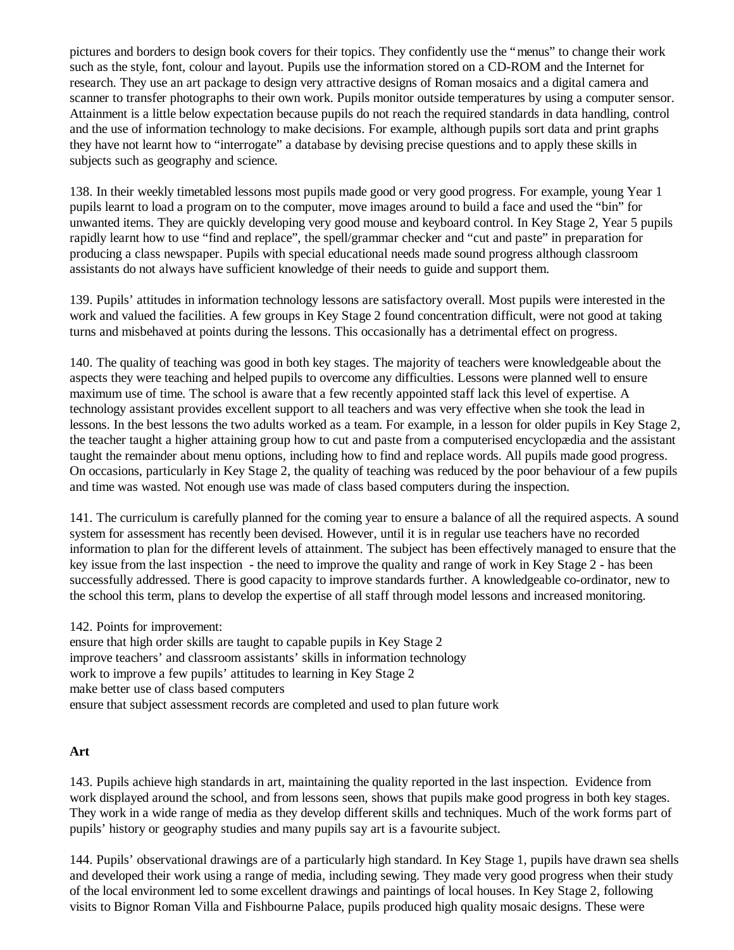pictures and borders to design book covers for their topics. They confidently use the "menus" to change their work such as the style, font, colour and layout. Pupils use the information stored on a CD-ROM and the Internet for research. They use an art package to design very attractive designs of Roman mosaics and a digital camera and scanner to transfer photographs to their own work. Pupils monitor outside temperatures by using a computer sensor. Attainment is a little below expectation because pupils do not reach the required standards in data handling, control and the use of information technology to make decisions. For example, although pupils sort data and print graphs they have not learnt how to "interrogate" a database by devising precise questions and to apply these skills in subjects such as geography and science.

138. In their weekly timetabled lessons most pupils made good or very good progress. For example, young Year 1 pupils learnt to load a program on to the computer, move images around to build a face and used the "bin" for unwanted items. They are quickly developing very good mouse and keyboard control. In Key Stage 2, Year 5 pupils rapidly learnt how to use "find and replace", the spell/grammar checker and "cut and paste" in preparation for producing a class newspaper. Pupils with special educational needs made sound progress although classroom assistants do not always have sufficient knowledge of their needs to guide and support them.

139. Pupils' attitudes in information technology lessons are satisfactory overall. Most pupils were interested in the work and valued the facilities. A few groups in Key Stage 2 found concentration difficult, were not good at taking turns and misbehaved at points during the lessons. This occasionally has a detrimental effect on progress.

140. The quality of teaching was good in both key stages. The majority of teachers were knowledgeable about the aspects they were teaching and helped pupils to overcome any difficulties. Lessons were planned well to ensure maximum use of time. The school is aware that a few recently appointed staff lack this level of expertise. A technology assistant provides excellent support to all teachers and was very effective when she took the lead in lessons. In the best lessons the two adults worked as a team. For example, in a lesson for older pupils in Key Stage 2, the teacher taught a higher attaining group how to cut and paste from a computerised encyclopædia and the assistant taught the remainder about menu options, including how to find and replace words. All pupils made good progress. On occasions, particularly in Key Stage 2, the quality of teaching was reduced by the poor behaviour of a few pupils and time was wasted. Not enough use was made of class based computers during the inspection.

141. The curriculum is carefully planned for the coming year to ensure a balance of all the required aspects. A sound system for assessment has recently been devised. However, until it is in regular use teachers have no recorded information to plan for the different levels of attainment. The subject has been effectively managed to ensure that the key issue from the last inspection - the need to improve the quality and range of work in Key Stage 2 - has been successfully addressed. There is good capacity to improve standards further. A knowledgeable co-ordinator, new to the school this term, plans to develop the expertise of all staff through model lessons and increased monitoring.

142. Points for improvement: ensure that high order skills are taught to capable pupils in Key Stage 2 improve teachers' and classroom assistants' skills in information technology work to improve a few pupils' attitudes to learning in Key Stage 2 make better use of class based computers ensure that subject assessment records are completed and used to plan future work

## **Art**

143. Pupils achieve high standards in art, maintaining the quality reported in the last inspection. Evidence from work displayed around the school, and from lessons seen, shows that pupils make good progress in both key stages. They work in a wide range of media as they develop different skills and techniques. Much of the work forms part of pupils' history or geography studies and many pupils say art is a favourite subject.

144. Pupils' observational drawings are of a particularly high standard. In Key Stage 1, pupils have drawn sea shells and developed their work using a range of media, including sewing. They made very good progress when their study of the local environment led to some excellent drawings and paintings of local houses. In Key Stage 2, following visits to Bignor Roman Villa and Fishbourne Palace, pupils produced high quality mosaic designs. These were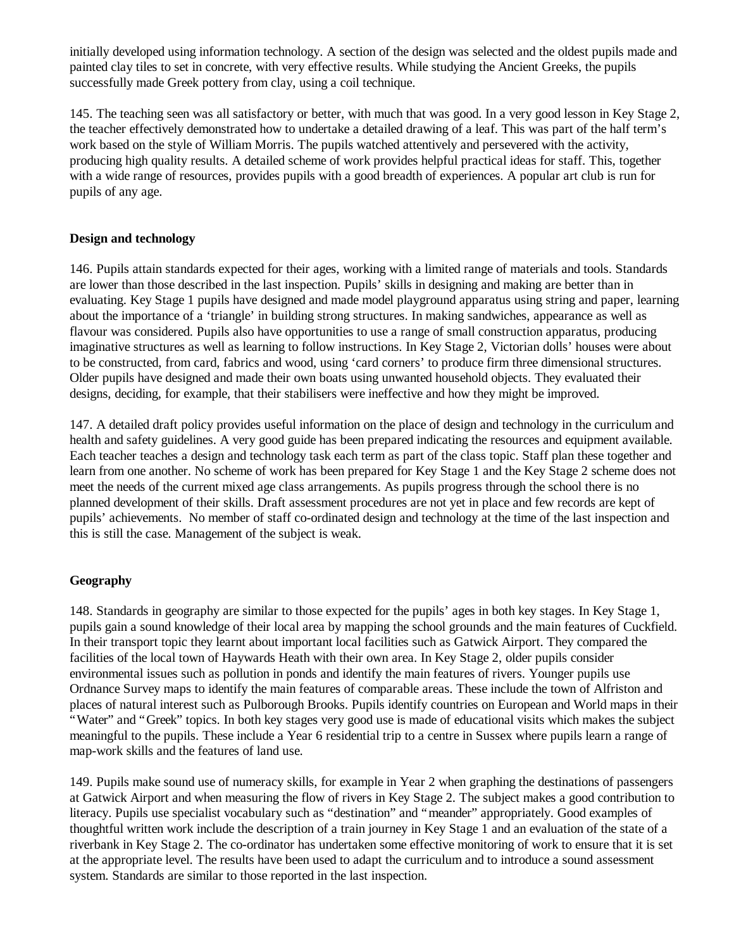initially developed using information technology. A section of the design was selected and the oldest pupils made and painted clay tiles to set in concrete, with very effective results. While studying the Ancient Greeks, the pupils successfully made Greek pottery from clay, using a coil technique.

145. The teaching seen was all satisfactory or better, with much that was good. In a very good lesson in Key Stage 2, the teacher effectively demonstrated how to undertake a detailed drawing of a leaf. This was part of the half term's work based on the style of William Morris. The pupils watched attentively and persevered with the activity, producing high quality results. A detailed scheme of work provides helpful practical ideas for staff. This, together with a wide range of resources, provides pupils with a good breadth of experiences. A popular art club is run for pupils of any age.

#### **Design and technology**

146. Pupils attain standards expected for their ages, working with a limited range of materials and tools. Standards are lower than those described in the last inspection. Pupils' skills in designing and making are better than in evaluating. Key Stage 1 pupils have designed and made model playground apparatus using string and paper, learning about the importance of a 'triangle' in building strong structures. In making sandwiches, appearance as well as flavour was considered. Pupils also have opportunities to use a range of small construction apparatus, producing imaginative structures as well as learning to follow instructions. In Key Stage 2, Victorian dolls' houses were about to be constructed, from card, fabrics and wood, using 'card corners' to produce firm three dimensional structures. Older pupils have designed and made their own boats using unwanted household objects. They evaluated their designs, deciding, for example, that their stabilisers were ineffective and how they might be improved.

147. A detailed draft policy provides useful information on the place of design and technology in the curriculum and health and safety guidelines. A very good guide has been prepared indicating the resources and equipment available. Each teacher teaches a design and technology task each term as part of the class topic. Staff plan these together and learn from one another. No scheme of work has been prepared for Key Stage 1 and the Key Stage 2 scheme does not meet the needs of the current mixed age class arrangements. As pupils progress through the school there is no planned development of their skills. Draft assessment procedures are not yet in place and few records are kept of pupils' achievements. No member of staff co-ordinated design and technology at the time of the last inspection and this is still the case. Management of the subject is weak.

## **Geography**

148. Standards in geography are similar to those expected for the pupils' ages in both key stages. In Key Stage 1, pupils gain a sound knowledge of their local area by mapping the school grounds and the main features of Cuckfield. In their transport topic they learnt about important local facilities such as Gatwick Airport. They compared the facilities of the local town of Haywards Heath with their own area. In Key Stage 2, older pupils consider environmental issues such as pollution in ponds and identify the main features of rivers. Younger pupils use Ordnance Survey maps to identify the main features of comparable areas. These include the town of Alfriston and places of natural interest such as Pulborough Brooks. Pupils identify countries on European and World maps in their "Water" and "Greek" topics. In both key stages very good use is made of educational visits which makes the subject meaningful to the pupils. These include a Year 6 residential trip to a centre in Sussex where pupils learn a range of map-work skills and the features of land use.

149. Pupils make sound use of numeracy skills, for example in Year 2 when graphing the destinations of passengers at Gatwick Airport and when measuring the flow of rivers in Key Stage 2. The subject makes a good contribution to literacy. Pupils use specialist vocabulary such as "destination" and "meander" appropriately. Good examples of thoughtful written work include the description of a train journey in Key Stage 1 and an evaluation of the state of a riverbank in Key Stage 2. The co-ordinator has undertaken some effective monitoring of work to ensure that it is set at the appropriate level. The results have been used to adapt the curriculum and to introduce a sound assessment system. Standards are similar to those reported in the last inspection.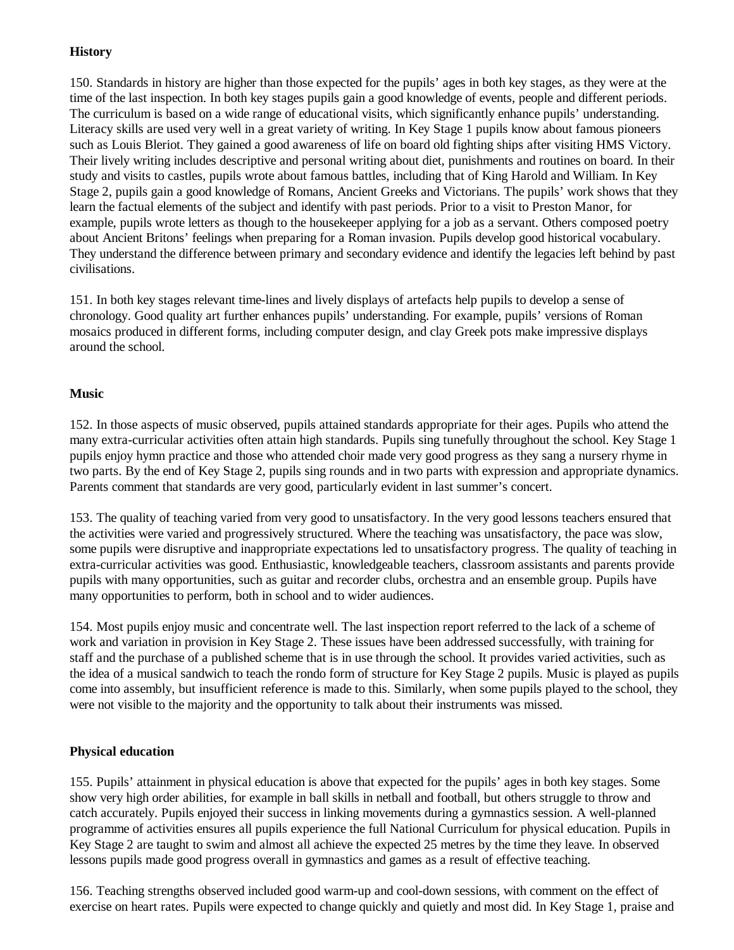### **History**

150. Standards in history are higher than those expected for the pupils' ages in both key stages, as they were at the time of the last inspection. In both key stages pupils gain a good knowledge of events, people and different periods. The curriculum is based on a wide range of educational visits, which significantly enhance pupils' understanding. Literacy skills are used very well in a great variety of writing. In Key Stage 1 pupils know about famous pioneers such as Louis Bleriot. They gained a good awareness of life on board old fighting ships after visiting HMS Victory. Their lively writing includes descriptive and personal writing about diet, punishments and routines on board. In their study and visits to castles, pupils wrote about famous battles, including that of King Harold and William. In Key Stage 2, pupils gain a good knowledge of Romans, Ancient Greeks and Victorians. The pupils' work shows that they learn the factual elements of the subject and identify with past periods. Prior to a visit to Preston Manor, for example, pupils wrote letters as though to the housekeeper applying for a job as a servant. Others composed poetry about Ancient Britons' feelings when preparing for a Roman invasion. Pupils develop good historical vocabulary. They understand the difference between primary and secondary evidence and identify the legacies left behind by past civilisations.

151. In both key stages relevant time-lines and lively displays of artefacts help pupils to develop a sense of chronology. Good quality art further enhances pupils' understanding. For example, pupils' versions of Roman mosaics produced in different forms, including computer design, and clay Greek pots make impressive displays around the school.

#### **Music**

152. In those aspects of music observed, pupils attained standards appropriate for their ages. Pupils who attend the many extra-curricular activities often attain high standards. Pupils sing tunefully throughout the school. Key Stage 1 pupils enjoy hymn practice and those who attended choir made very good progress as they sang a nursery rhyme in two parts. By the end of Key Stage 2, pupils sing rounds and in two parts with expression and appropriate dynamics. Parents comment that standards are very good, particularly evident in last summer's concert.

153. The quality of teaching varied from very good to unsatisfactory. In the very good lessons teachers ensured that the activities were varied and progressively structured. Where the teaching was unsatisfactory, the pace was slow, some pupils were disruptive and inappropriate expectations led to unsatisfactory progress. The quality of teaching in extra-curricular activities was good. Enthusiastic, knowledgeable teachers, classroom assistants and parents provide pupils with many opportunities, such as guitar and recorder clubs, orchestra and an ensemble group. Pupils have many opportunities to perform, both in school and to wider audiences.

154. Most pupils enjoy music and concentrate well. The last inspection report referred to the lack of a scheme of work and variation in provision in Key Stage 2. These issues have been addressed successfully, with training for staff and the purchase of a published scheme that is in use through the school. It provides varied activities, such as the idea of a musical sandwich to teach the rondo form of structure for Key Stage 2 pupils. Music is played as pupils come into assembly, but insufficient reference is made to this. Similarly, when some pupils played to the school, they were not visible to the majority and the opportunity to talk about their instruments was missed.

#### **Physical education**

155. Pupils' attainment in physical education is above that expected for the pupils' ages in both key stages. Some show very high order abilities, for example in ball skills in netball and football, but others struggle to throw and catch accurately. Pupils enjoyed their success in linking movements during a gymnastics session. A well-planned programme of activities ensures all pupils experience the full National Curriculum for physical education. Pupils in Key Stage 2 are taught to swim and almost all achieve the expected 25 metres by the time they leave. In observed lessons pupils made good progress overall in gymnastics and games as a result of effective teaching.

156. Teaching strengths observed included good warm-up and cool-down sessions, with comment on the effect of exercise on heart rates. Pupils were expected to change quickly and quietly and most did. In Key Stage 1, praise and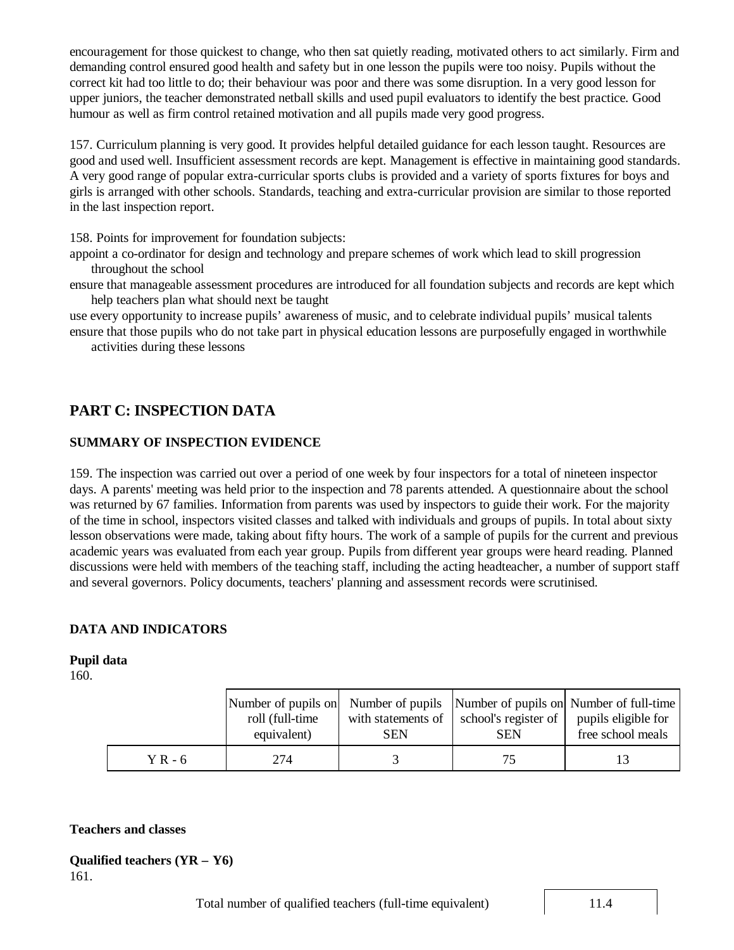encouragement for those quickest to change, who then sat quietly reading, motivated others to act similarly. Firm and demanding control ensured good health and safety but in one lesson the pupils were too noisy. Pupils without the correct kit had too little to do; their behaviour was poor and there was some disruption. In a very good lesson for upper juniors, the teacher demonstrated netball skills and used pupil evaluators to identify the best practice. Good humour as well as firm control retained motivation and all pupils made very good progress.

157. Curriculum planning is very good. It provides helpful detailed guidance for each lesson taught. Resources are good and used well. Insufficient assessment records are kept. Management is effective in maintaining good standards. A very good range of popular extra-curricular sports clubs is provided and a variety of sports fixtures for boys and girls is arranged with other schools. Standards, teaching and extra-curricular provision are similar to those reported in the last inspection report.

158. Points for improvement for foundation subjects:

appoint a co-ordinator for design and technology and prepare schemes of work which lead to skill progression throughout the school

ensure that manageable assessment procedures are introduced for all foundation subjects and records are kept which help teachers plan what should next be taught

use every opportunity to increase pupils' awareness of music, and to celebrate individual pupils' musical talents ensure that those pupils who do not take part in physical education lessons are purposefully engaged in worthwhile

activities during these lessons

## **PART C: INSPECTION DATA**

## **SUMMARY OF INSPECTION EVIDENCE**

159. The inspection was carried out over a period of one week by four inspectors for a total of nineteen inspector days. A parents' meeting was held prior to the inspection and 78 parents attended. A questionnaire about the school was returned by 67 families. Information from parents was used by inspectors to guide their work. For the majority of the time in school, inspectors visited classes and talked with individuals and groups of pupils. In total about sixty lesson observations were made, taking about fifty hours. The work of a sample of pupils for the current and previous academic years was evaluated from each year group. Pupils from different year groups were heard reading. Planned discussions were held with members of the teaching staff, including the acting headteacher, a number of support staff and several governors. Policy documents, teachers' planning and assessment records were scrutinised.

#### **DATA AND INDICATORS**

#### **Pupil data**

160.

|           | roll (full-time<br>equivalent) | with statements of<br>SEN | school's register of<br><b>SEN</b> | Number of pupils on Number of pupils Number of pupils on Number of full-time<br>pupils eligible for<br>free school meals |
|-----------|--------------------------------|---------------------------|------------------------------------|--------------------------------------------------------------------------------------------------------------------------|
| $Y$ R - 6 | 274                            |                           |                                    |                                                                                                                          |

#### **Teachers and classes**

```
Qualified teachers (YR – Y6)
161.
```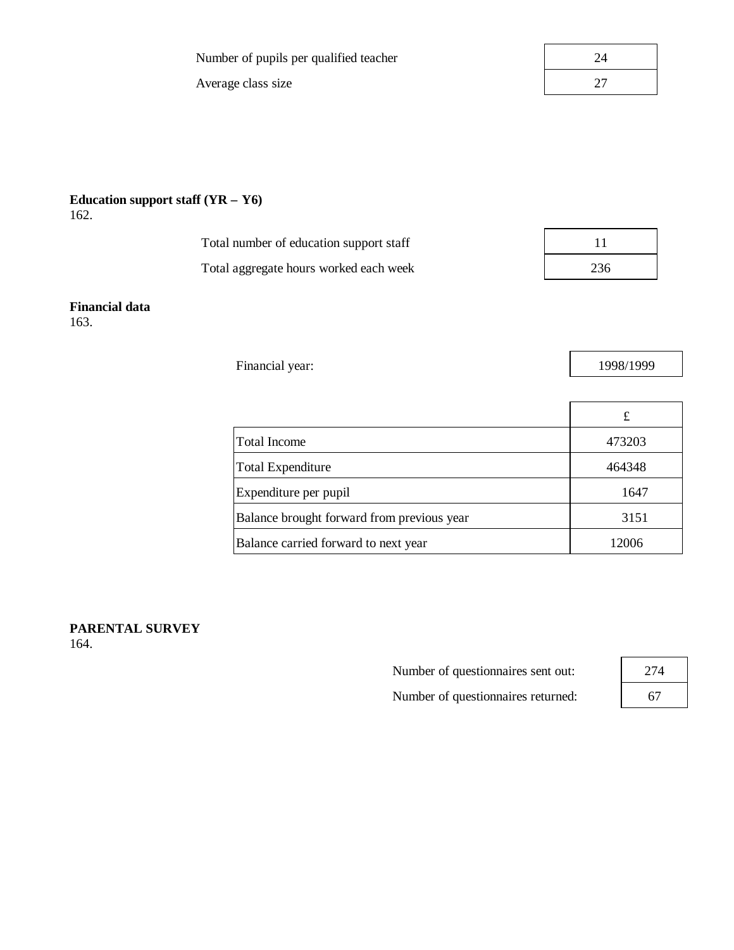Number of pupils per qualified teacher

Average class size

| 24 |  |
|----|--|
| 27 |  |
|    |  |

#### **Education support staff (YR – Y6)** 162.

| Total number of education support staff |     |
|-----------------------------------------|-----|
| Total aggregate hours worked each week  | 236 |

#### **Financial data** 163.

Financial year: 1998/1999

|                                            | £      |
|--------------------------------------------|--------|
| Total Income                               | 473203 |
| Total Expenditure                          | 464348 |
| Expenditure per pupil                      | 1647   |
| Balance brought forward from previous year | 3151   |
| Balance carried forward to next year       | 12006  |

**PARENTAL SURVEY** 164.

> Number of questionnaires sent out: Number of questionnaires returned:

| 274 |  |
|-----|--|
| 67  |  |

 $\Gamma$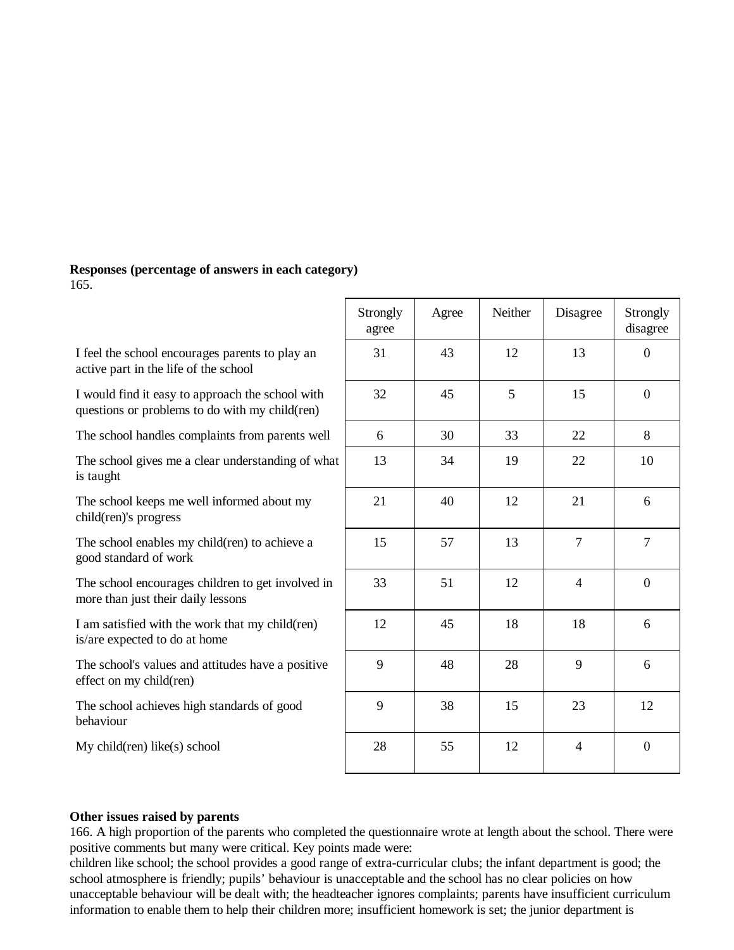#### **Responses (percentage of answers in each category)**: 165.

I feel the school encourages parents to play an active part in the life of the school

I would find it easy to approach the school with questions or problems to do with my child(ren)

The school handles complaints from parents well

The school gives me a clear understanding of what is taught

The school keeps me well informed about my child(ren)'s progress

The school enables my child(ren) to achieve a good standard of work

The school encourages children to get involved in more than just their daily lessons

I am satisfied with the work that my child(ren) is/are expected to do at home

The school's values and attitudes have a positive effect on my child(ren)

The school achieves high standards of good behaviour

My child(ren) like(s) school

| Strongly<br>agree | Agree | Neither | Disagree       | Strongly<br>disagree |
|-------------------|-------|---------|----------------|----------------------|
| 31                | 43    | 12      | 13             | $\boldsymbol{0}$     |
| 32                | 45    | 5       | 15             | $\boldsymbol{0}$     |
| 6                 | 30    | 33      | 22             | 8                    |
| 13                | 34    | 19      | 22             | 10                   |
| 21                | 40    | 12      | $21\,$         | 6                    |
| 15                | 57    | 13      | $\tau$         | $\boldsymbol{7}$     |
| 33                | 51    | 12      | $\overline{4}$ | $\boldsymbol{0}$     |
| 12                | 45    | 18      | 18             | 6                    |
| 9                 | 48    | 28      | 9              | 6                    |
| 9                 | 38    | 15      | 23             | 12                   |
| 28                | 55    | 12      | $\overline{4}$ | $\boldsymbol{0}$     |

#### **Other issues raised by parents**

166. A high proportion of the parents who completed the questionnaire wrote at length about the school. There were positive comments but many were critical. Key points made were:

children like school; the school provides a good range of extra-curricular clubs; the infant department is good; the school atmosphere is friendly; pupils' behaviour is unacceptable and the school has no clear policies on how unacceptable behaviour will be dealt with; the headteacher ignores complaints; parents have insufficient curriculum information to enable them to help their children more; insufficient homework is set; the junior department is